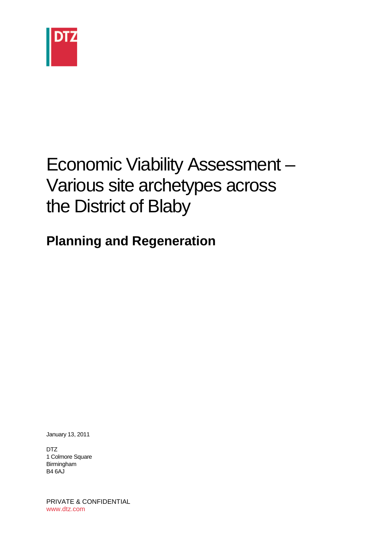

# Economic Viability Assessment – Various site archetypes across the District of Blaby

## **Planning and Regeneration**

January 13, 2011

DTZ 1 Colmore Square Birmingham B4 6AJ

PRIVATE & CONFIDENTIAL www.dtz.com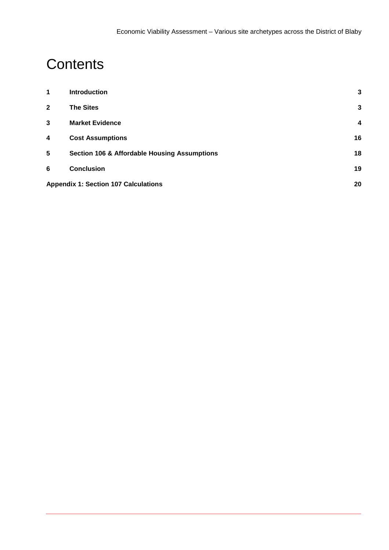# **Contents**

| 1            | <b>Introduction</b>                                     | 3                |  |
|--------------|---------------------------------------------------------|------------------|--|
| $\mathbf{2}$ | <b>The Sites</b>                                        | 3                |  |
| 3            | <b>Market Evidence</b>                                  | $\boldsymbol{4}$ |  |
| 4            | <b>Cost Assumptions</b>                                 | 16               |  |
| 5            | <b>Section 106 &amp; Affordable Housing Assumptions</b> | 18               |  |
| 6            | <b>Conclusion</b>                                       | 19               |  |
|              | <b>Appendix 1: Section 107 Calculations</b>             |                  |  |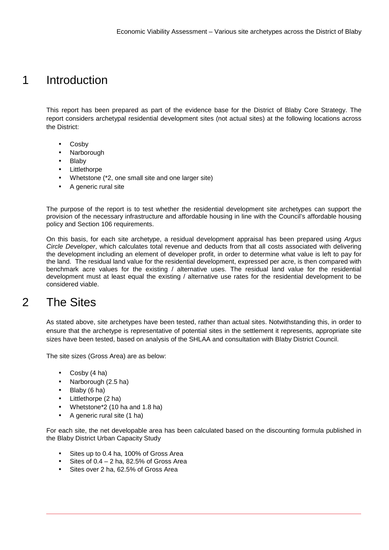## 1 Introduction

This report has been prepared as part of the evidence base for the District of Blaby Core Strategy. The report considers archetypal residential development sites (not actual sites) at the following locations across the District:

- **Cosby**
- **Narborough**
- **Blaby**
- **Littlethorpe**
- Whetstone (\*2, one small site and one larger site)
- A generic rural site

The purpose of the report is to test whether the residential development site archetypes can support the provision of the necessary infrastructure and affordable housing in line with the Council's affordable housing policy and Section 106 requirements.

On this basis, for each site archetype, a residual development appraisal has been prepared using Argus Circle Developer, which calculates total revenue and deducts from that all costs associated with delivering the development including an element of developer profit, in order to determine what value is left to pay for the land. The residual land value for the residential development, expressed per acre, is then compared with benchmark acre values for the existing / alternative uses. The residual land value for the residential development must at least equal the existing / alternative use rates for the residential development to be considered viable.

## 2 The Sites

As stated above, site archetypes have been tested, rather than actual sites. Notwithstanding this, in order to ensure that the archetype is representative of potential sites in the settlement it represents, appropriate site sizes have been tested, based on analysis of the SHLAA and consultation with Blaby District Council.

The site sizes (Gross Area) are as below:

- Cosby (4 ha)
- Narborough (2.5 ha)
- Blaby (6 ha)
- Littlethorpe (2 ha)
- Whetstone\*2 (10 ha and 1.8 ha)
- A generic rural site (1 ha)

For each site, the net developable area has been calculated based on the discounting formula published in the Blaby District Urban Capacity Study

- Sites up to 0.4 ha, 100% of Gross Area
- Sites of  $0.4 2$  ha, 82.5% of Gross Area
- Sites over 2 ha, 62.5% of Gross Area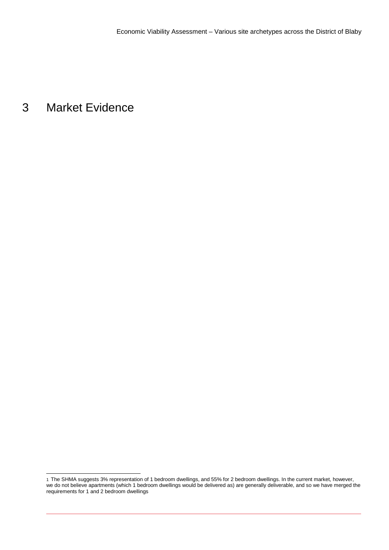## 3 Market Evidence

l

<sup>1</sup> The SHMA suggests 3% representation of 1 bedroom dwellings, and 55% for 2 bedroom dwellings. In the current market, however, we do not believe apartments (which 1 bedroom dwellings would be delivered as) are generally deliverable, and so we have merged the requirements for 1 and 2 bedroom dwellings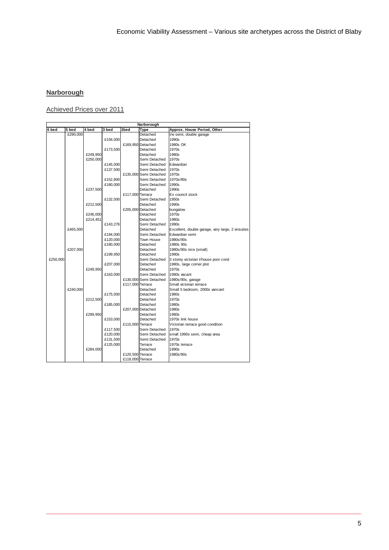### **Narborough**

Achieved Prices over 2011

|          |          |          |          |                  | Narborough             |                                                  |
|----------|----------|----------|----------|------------------|------------------------|--------------------------------------------------|
| 6 bed    | 5 bed    | 4 bed    | 3 bed    | 2bed             | Type                   | Approx. House Period, Other                      |
|          | £290,000 |          |          |                  | Detached               | i/w semi, double garage                          |
|          |          |          | £156,000 |                  | Detached               | 1990s                                            |
|          |          |          |          |                  | £169,950 Detached      | 1980s OK                                         |
|          |          |          | £173,500 |                  | Detached               | 1970s                                            |
|          |          | £249,950 |          |                  | Detached               | 1980s                                            |
|          |          | £250,000 |          |                  | Semi Detached          | 1970s                                            |
|          |          |          | £145,000 |                  | Semi Detached          | Edwardian                                        |
|          |          |          | £137,500 |                  | Semi Detached          | 1970s                                            |
|          |          |          |          |                  | £135,000 Semi Detached | 1970s                                            |
|          |          |          | £152.800 |                  | Semi Detached          | 1970s/80s                                        |
|          |          |          | £180,000 |                  | Semi Detached          | 1990s                                            |
|          |          | £237,500 |          |                  | Detached               | 1990s                                            |
|          |          |          |          | £117,000 Terrace |                        | Ex council stock                                 |
|          |          |          | £132,000 |                  | Semi Detached          | 1950s                                            |
|          |          | £212,500 |          |                  | Detached               | 1990s                                            |
|          |          |          |          |                  | £205,000 Detached      | bungalow                                         |
|          |          | £246,000 |          |                  | Detached               | 1970s                                            |
|          |          | £214,451 |          |                  | Detached               | 1980s                                            |
|          |          |          | £143,276 |                  | Semi Detached          | 1990s                                            |
|          | £465,000 |          |          |                  | Detached               | Excellent, double garage, very large, 2 ensuites |
|          |          |          | £194,000 |                  | Semi Detached          | Edwardian semi                                   |
|          |          |          | £120,000 |                  | Town House             | 1980s/90s                                        |
|          |          |          | £180,000 |                  | Detached               | 1980s 90s                                        |
|          | £207,000 |          |          |                  | Detached               | 1980s/90s nice (small)                           |
|          |          |          | £199,950 |                  | Detached               | 1990s                                            |
| £250,000 |          |          |          |                  | Semi Detached          | 3 storey victorian t/house poor cond             |
|          |          |          | £207,000 |                  | Detached               | 1980s, large corner plot                         |
|          |          | £249.950 |          |                  | Detached               | 1970s                                            |
|          |          |          | £163,000 |                  | Semi Detached          | 1990s vacant                                     |
|          |          |          |          |                  | £130,000 Semi Detached | 1980s/90s, garage                                |
|          |          |          |          | £117,000 Terrace |                        | Small victorian terrace                          |
|          | £240,000 |          |          |                  | Detached               | Small 5 bedroom, 2000s vancant                   |
|          |          |          | £175,000 |                  | Detached               | 1980s                                            |
|          |          | £212,500 |          |                  | Detached               | 1970s                                            |
|          |          |          | £185,000 |                  | Detached               | 1980s                                            |
|          |          |          |          |                  | £207,000 Detached      | 1980s                                            |
|          |          | £299.950 |          |                  | Detached               | 1980s                                            |
|          |          |          | £153,000 |                  | Detached               | 1970s link house                                 |
|          |          |          |          | £115,000 Terrace |                        | Victorian terrace good condition                 |
|          |          |          | £117,500 |                  | Semi Detached          | 1970s                                            |
|          |          |          | £120,000 |                  | Semi Detached          | small 1990s semi, cheap area                     |
|          |          |          | £131,500 |                  | Semi Detached          | 1970s                                            |
|          |          |          | £125,000 |                  | Terrace                | 1970s terrace                                    |
|          |          | £284,000 |          |                  | Detached               | 1990s                                            |
|          |          |          |          | £120,500 Terrace |                        | 1980s/90s                                        |
|          |          |          |          | £118,000 Terrace |                        |                                                  |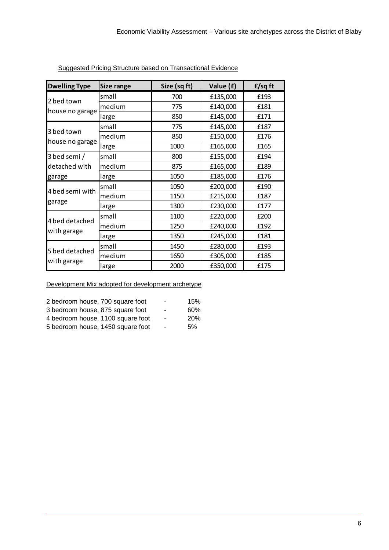| <b>Dwelling Type</b> | <b>Size range</b> | Size (sq ft) | Value (£) | f/sqft |
|----------------------|-------------------|--------------|-----------|--------|
| 2 bed town           | small             | 700          | £135,000  | £193   |
|                      | medium            | 775          | £140,000  | £181   |
| house no garage      | large             | 850          | £145,000  | £171   |
|                      | small             | 775          | £145,000  | £187   |
| 3 bed town           | medium            | 850          | £150,000  | £176   |
| house no garage      | large             | 1000         | £165,000  | £165   |
| 3 bed semi /         | small             | 800          | £155,000  | £194   |
| detached with        | medium            | 875          | £165,000  | £189   |
| garage               | large             | 1050         | £185,000  | £176   |
|                      | small             | 1050         | £200,000  | £190   |
| 4 bed semi with      | medium            | 1150         | £215,000  | £187   |
| garage               | large             | 1300         | £230,000  | £177   |
|                      | small             | 1100         | £220,000  | £200   |
| 4 bed detached       | medium            | 1250         | £240,000  | £192   |
| with garage          | large             | 1350         | £245,000  | £181   |
|                      | small             | 1450         | £280,000  | £193   |
| 5 bed detached       | medium            | 1650         | £305,000  | £185   |
| with garage          | large             | 2000         | £350,000  | £175   |

Suggested Pricing Structure based on Transactional Evidence

| 2 bedroom house, 700 square foot  | ۰              | 15%        |
|-----------------------------------|----------------|------------|
| 3 bedroom house, 875 square foot  | ۰              | 60%        |
| 4 bedroom house, 1100 square foot | $\blacksquare$ | <b>20%</b> |
| 5 bedroom house, 1450 square foot | $\blacksquare$ | .5%        |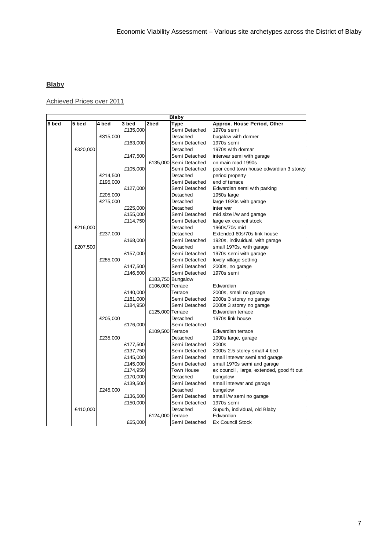## **Blaby**

Achieved Prices over 2011

|       |          |          |          |                  | Blaby                  |                                           |
|-------|----------|----------|----------|------------------|------------------------|-------------------------------------------|
| 6 bed | 5 bed    | 4 bed    | 3 bed    | 2bed             | Type                   | Approx. House Period, Other               |
|       |          |          | £135,000 |                  | Semi Detached          | 1970s semi                                |
|       |          | £315,000 |          |                  | Detached               | bugalow with dormer                       |
|       |          |          | £163,000 |                  | Semi Detached          | 1970s semi                                |
|       | £320,000 |          |          |                  | Detached               | 1970s with dormar                         |
|       |          |          | £147,500 |                  | Semi Detached          | interwar semi with garage                 |
|       |          |          |          |                  | £135,000 Semi Detached | on main road 1990s                        |
|       |          |          | £105,000 |                  | Semi Detached          | poor cond town house edwardian 3 storey   |
|       |          | £214,500 |          |                  | Detached               | period property                           |
|       |          | £195,000 |          |                  | Semi Detached          | end of terrace                            |
|       |          |          | £127,000 |                  | Semi Detached          | Edwardian semi with parking               |
|       |          | £205,000 |          |                  | Detached               | 1950s large                               |
|       |          | £275,000 |          |                  | Detached               | large 1920s with garage                   |
|       |          |          | £225,000 |                  | Detached               | inter war                                 |
|       |          |          | £155,000 |                  | Semi Detached          | mid size i/w and garage                   |
|       |          |          | £114,750 |                  | Semi Detached          | large ex council stock                    |
|       | £216,000 |          |          |                  | Detached               | 1960s/70s mid                             |
|       |          | £237,000 |          |                  | Detached               | Extended 60s/70s link house               |
|       |          |          | £168,000 |                  | Semi Detached          | 1920s, indivuidual, with garage           |
|       | £207,500 |          |          |                  | Detached               | small 1970s, with garage                  |
|       |          |          | £157,000 |                  | Semi Detached          | 1970s semi with garage                    |
|       |          | £285,000 |          |                  | Semi Detached          | lovely village setting                    |
|       |          |          | £147,500 |                  | Semi Detached          | 2000s, no garage                          |
|       |          |          | £146,500 |                  | Semi Detached          | 1970s semi                                |
|       |          |          |          |                  | £183,750 Bungalow      |                                           |
|       |          |          |          | £106,000 Terrace |                        | Edwardian                                 |
|       |          |          | £140,000 |                  | Terrace                | 2000s, small no garage                    |
|       |          |          | £181,000 |                  | Semi Detached          | 2000s 3 storey no garage                  |
|       |          |          | £184,950 |                  | Semi Detached          | 2000s 3 storey no garage                  |
|       |          |          |          | £125,000 Terrace |                        | Edwardian terrace                         |
|       |          | £205,000 |          |                  | Detached               | 1970s link house                          |
|       |          |          | £176,000 |                  | Semi Detached          |                                           |
|       |          |          |          | £109,500 Terrace |                        | Edwardian terrace                         |
|       |          | £235,000 |          |                  | Detached               | 1990s large, garage                       |
|       |          |          | £177,500 |                  | Semi Detached          | 2000s                                     |
|       |          |          | £137,750 |                  | Semi Detached          | 2000s 2.5 storey small 4 bed              |
|       |          |          | £145,000 |                  | Semi Detached          | small interwar semi and garage            |
|       |          |          | £145,000 |                  | Semi Detached          | small 1970s semi and garage               |
|       |          |          | £174,950 |                  | <b>Town House</b>      | ex council, large, extended, good fit out |
|       |          |          | £170,000 |                  | Detached               | bungalow                                  |
|       |          |          | £139,500 |                  | Semi Detached          | small interwar and garage                 |
|       |          | £245,000 |          |                  | Detached               | bungalow                                  |
|       |          |          | £136,500 |                  | Semi Detached          | small i/w semi no garage                  |
|       |          |          | £150,000 |                  | Semi Detached          | 1970s semi                                |
|       | £410,000 |          |          |                  | Detached               | Supurb, individual, old Blaby             |
|       |          |          |          | £124,000 Terrace |                        | Edwardian                                 |
|       |          |          | £65,000  |                  | Semi Detached          | <b>Ex Council Stock</b>                   |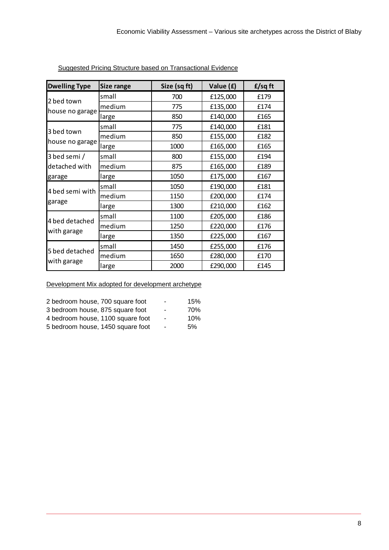| <b>Dwelling Type</b> | <b>Size range</b> | Size (sq ft) | Value (£) | f/sqft |
|----------------------|-------------------|--------------|-----------|--------|
| 2 bed town           | small             | 700          | £125,000  | £179   |
|                      | medium            | 775          | £135,000  | £174   |
| house no garage      | large             | 850          | £140,000  | £165   |
|                      | small             | 775          | £140,000  | £181   |
| 3 bed town           | medium            | 850          | £155,000  | £182   |
| house no garage      | large             | 1000         | £165,000  | £165   |
| 3 bed semi /         | small             | 800          | £155,000  | £194   |
| detached with        | medium            | 875          | £165,000  | £189   |
| garage               | large             | 1050         | £175,000  | £167   |
| 4 bed semi with      | small             | 1050         | £190,000  | £181   |
|                      | medium            | 1150         | £200,000  | £174   |
| garage               | large             | 1300         | £210,000  | £162   |
|                      | small             | 1100         | £205,000  | £186   |
| 4 bed detached       | medium            | 1250         | £220,000  | £176   |
| with garage          | large             | 1350         | £225,000  | £167   |
|                      | small             | 1450         | £255,000  | £176   |
| 5 bed detached       | medium            | 1650         | £280,000  | £170   |
| with garage          | large             | 2000         | £290,000  | £145   |

Suggested Pricing Structure based on Transactional Evidence

| 2 bedroom house, 700 square foot  | ۰                        | 15% |
|-----------------------------------|--------------------------|-----|
| 3 bedroom house, 875 square foot  | ٠                        | 70% |
| 4 bedroom house, 1100 square foot | $\sim$                   | 10% |
| 5 bedroom house, 1450 square foot | $\overline{\phantom{a}}$ | .5% |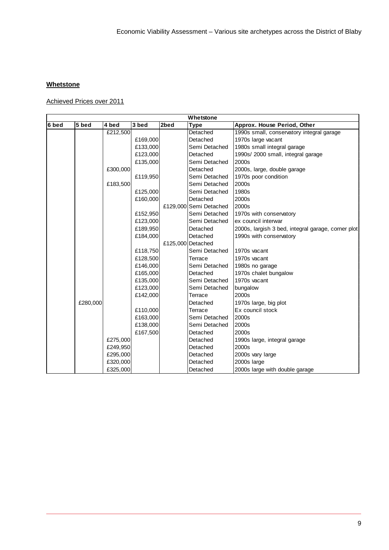## **Whetstone**

Achieved Prices over 2011

| Whetstone |          |          |          |      |                        |                                                    |  |
|-----------|----------|----------|----------|------|------------------------|----------------------------------------------------|--|
| 6 bed     | 5 bed    | 4 bed    | 3 bed    | 2bed | Type                   | Approx. House Period, Other                        |  |
|           |          | £212,500 |          |      | Detached               | 1990s small, conservatory integral garage          |  |
|           |          |          | £169,000 |      | Detached               | 1970s large vacant                                 |  |
|           |          |          | £133,000 |      | Semi Detached          | 1980s small integral garage                        |  |
|           |          |          | £123,000 |      | Detached               | 1990s/ 2000 small, integral garage                 |  |
|           |          |          | £135,000 |      | Semi Detached          | 2000s                                              |  |
|           |          | £300,000 |          |      | Detached               | 2000s, large, double garage                        |  |
|           |          |          | £119,950 |      | Semi Detached          | 1970s poor condition                               |  |
|           |          | £183,500 |          |      | Semi Detached          | 2000s                                              |  |
|           |          |          | £125,000 |      | Semi Detached          | 1980s                                              |  |
|           |          |          | £160,000 |      | Detached               | 2000s                                              |  |
|           |          |          |          |      | £129,000 Semi Detached | 2000s                                              |  |
|           |          |          | £152,950 |      | Semi Detached          | 1970s with conservatory                            |  |
|           |          |          | £123,000 |      | Semi Detached          | ex council interwar                                |  |
|           |          |          | £189,950 |      | Detached               | 2000s, largish 3 bed, integral garage, corner plot |  |
|           |          |          | £184,000 |      | Detached               | 1990s with conservatory                            |  |
|           |          |          |          |      | £125,000 Detached      |                                                    |  |
|           |          |          | £118,750 |      | Semi Detached          | 1970s vacant                                       |  |
|           |          |          | £128,500 |      | Terrace                | 1970s vacant                                       |  |
|           |          |          | £146,000 |      | Semi Detached          | 1980s no garage                                    |  |
|           |          |          | £165,000 |      | Detached               | 1970s chalet bungalow                              |  |
|           |          |          | £135,000 |      | Semi Detached          | 1970s vacant                                       |  |
|           |          |          | £123,000 |      | Semi Detached          | bungalow                                           |  |
|           |          |          | £142,000 |      | Terrace                | 2000s                                              |  |
|           | £280,000 |          |          |      | Detached               | 1970s large, big plot                              |  |
|           |          |          | £110,000 |      | Terrace                | Ex council stock                                   |  |
|           |          |          | £163,000 |      | Semi Detached          | 2000s                                              |  |
|           |          |          | £138,000 |      | Semi Detached          | 2000s                                              |  |
|           |          |          | £167,500 |      | Detached               | 2000s                                              |  |
|           |          | £275,000 |          |      | Detached               | 1990s large, integral garage                       |  |
|           |          | £249,950 |          |      | Detached               | 2000s                                              |  |
|           |          | £295,000 |          |      | Detached               | 2000s vary large                                   |  |
|           |          | £320,000 |          |      | Detached               | 2000s large                                        |  |
|           |          | £325,000 |          |      | Detached               | 2000s large with double garage                     |  |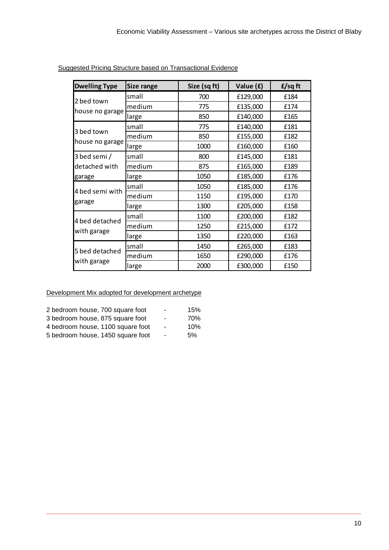| <b>Dwelling Type</b> | Size range | Size (sq ft) | Value (£) | f/sqft |
|----------------------|------------|--------------|-----------|--------|
| 2 bed town           | small      | 700          | £129,000  | £184   |
|                      | medium     | 775          | £135,000  | £174   |
| house no garage      | large      | 850          | £140,000  | £165   |
|                      | small      | 775          | £140,000  | £181   |
| 3 bed town           | medium     | 850          | £155,000  | £182   |
| house no garage      | large      | 1000         | £160,000  | £160   |
| 3 bed semi /         | small      | 800          | £145,000  | £181   |
| detached with        | medium     | 875          | £165,000  | £189   |
| garage               | large      | 1050         | £185,000  | £176   |
|                      | small      | 1050         | £185,000  | £176   |
| 4 bed semi with      | medium     | 1150         | £195,000  | £170   |
| garage               | large      | 1300         | £205,000  | £158   |
|                      | small      | 1100         | £200,000  | £182   |
| 4 bed detached       | medium     | 1250         | £215,000  | £172   |
| with garage          | large      | 1350         | £220,000  | £163   |
|                      | small      | 1450         | £265,000  | £183   |
| 5 bed detached       | medium     | 1650         | £290,000  | £176   |
| with garage          | large      | 2000         | £300,000  | £150   |

Suggested Pricing Structure based on Transactional Evidence

| 2 bedroom house, 700 square foot  | $\sim$         | 15% |
|-----------------------------------|----------------|-----|
| 3 bedroom house, 875 square foot  | ٠              | 70% |
| 4 bedroom house, 1100 square foot | $\blacksquare$ | 10% |
| 5 bedroom house, 1450 square foot | $\blacksquare$ | 5%  |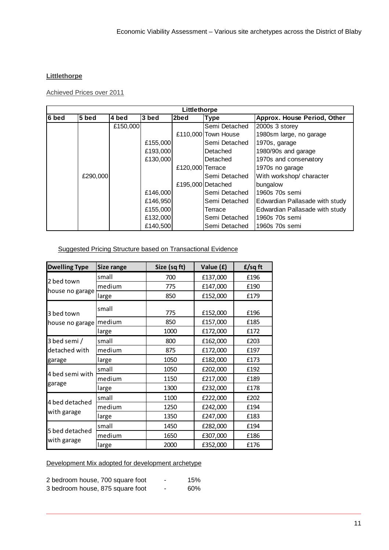### **Littlethorpe**

### Achieved Prices over 2011

| Littlethorpe |          |          |          |                  |                     |                                |  |  |
|--------------|----------|----------|----------|------------------|---------------------|--------------------------------|--|--|
| 6 bed        | 5 bed    | 4 bed    | 3 bed    | 2bed             | <b>Type</b>         | Approx. House Period, Other    |  |  |
|              |          | £150,000 |          |                  | Semi Detached       | 2000s 3 storey                 |  |  |
|              |          |          |          |                  | £110,000 Town House | 1980sm large, no garage        |  |  |
|              |          |          | £155,000 |                  | Semi Detached       | 1970s, garage                  |  |  |
|              |          |          | £193,000 |                  | Detached            | 1980/90s and garage            |  |  |
|              |          |          | £130,000 |                  | Detached            | 1970s and conservatory         |  |  |
|              |          |          |          | £120,000 Terrace |                     | 1970s no garage                |  |  |
|              | £290,000 |          |          |                  | Semi Detached       | With workshop/ character       |  |  |
|              |          |          |          |                  | £195,000 Detached   | bungalow                       |  |  |
|              |          |          | £146,000 |                  | Semi Detached       | 1960s 70s semi                 |  |  |
|              |          |          | £146,950 |                  | Semi Detached       | Edwardian Pallasade with study |  |  |
|              |          |          | £155,000 |                  | Terrace             | Edwardian Pallasade with study |  |  |
|              |          |          | £132,000 |                  | Semi Detached       | 1960s 70s semi                 |  |  |
|              |          |          | £140,500 |                  | Semi Detached       | 1960s 70s semi                 |  |  |

## Suggested Pricing Structure based on Transactional Evidence

| <b>Dwelling Type</b> | <b>Size range</b> | Size (sq ft) | Value (£) | f/sqft |
|----------------------|-------------------|--------------|-----------|--------|
|                      | small             | 700          | £137,000  | £196   |
| 2 bed town           | medium            | 775          | £147,000  | £190   |
| house no garage      | large             | 850          | £152,000  | £179   |
| 3 bed town           | small             | 775          | £152,000  | £196   |
| house no garage      | medium            | 850          | £157,000  | £185   |
|                      | large             | 1000         | £172,000  | £172   |
| 3 bed semi /         | small             | 800          | £162,000  | £203   |
| detached with        | medium            | 875          | £172,000  | £197   |
| garage               | large             | 1050         | £182,000  | £173   |
|                      | small             | 1050         | £202,000  | £192   |
| 4 bed semi with      | medium            | 1150         | £217,000  | £189   |
| garage               | large             | 1300         | £232,000  | £178   |
|                      | small             | 1100         | £222,000  | £202   |
| 4 bed detached       | medium            | 1250         | £242,000  | £194   |
| with garage          | large             | 1350         | £247,000  | £183   |
|                      | small             | 1450         | £282,000  | £194   |
| 5 bed detached       | medium            | 1650         | £307,000  | £186   |
| with garage          | large             | 2000         | £352,000  | £176   |

| 2 bedroom house, 700 square foot | ۰ | 15% |
|----------------------------------|---|-----|
| 3 bedroom house, 875 square foot | - | 60% |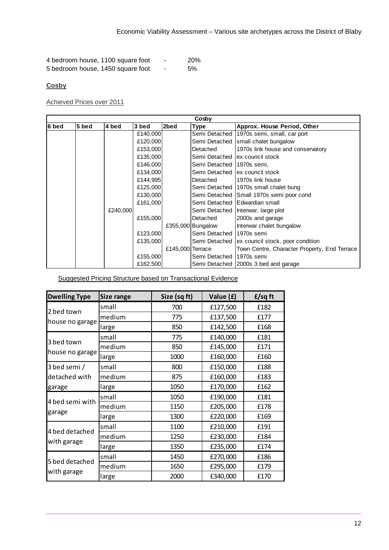| 4 bedroom house, 1100 square foot |   | <b>20%</b> |
|-----------------------------------|---|------------|
| 5 bedroom house, 1450 square foot | - | 5%         |

### **Cosby**

Achieved Prices over 2011

|       |       |          |          |                  | Cosby                     |                                                  |
|-------|-------|----------|----------|------------------|---------------------------|--------------------------------------------------|
| 6 bed | 5 bed | 4 bed    | 3 bed    | 2bed             | Type                      | Approx. House Period, Other                      |
|       |       |          | £140,000 |                  |                           | Semi Detached 1970s semi, small, car port        |
|       |       |          | £120,000 |                  |                           | Semi Detached Small chalet bungalow              |
|       |       |          | £153,000 |                  | Detached                  | 1970s link house and conservatory                |
|       |       |          | £135,000 |                  |                           | Semi Detached lex council stock                  |
|       |       |          | £146,000 |                  | Semi Detached 1970s semi, |                                                  |
|       |       |          | £134,000 |                  |                           | Semi Detached lex council stock                  |
|       |       |          | £144,995 |                  | Detached                  | 1970s link house                                 |
|       |       |          | £125,000 |                  |                           | Semi Detached   1970s small chalet bung          |
|       |       |          | £130,000 |                  |                           | Semi Detached   Small 1970s semi poor cond       |
|       |       |          | £161,000 |                  |                           | Semi Detached   Edwardian small                  |
|       |       | £240,000 |          |                  |                           | Semi Detached   Interwar, large plot             |
|       |       |          | £155,000 |                  | Detached                  | 2000s and garage                                 |
|       |       |          |          |                  | £355,000 Bungalow         | Interwar chalet bungalow                         |
|       |       |          | £123,000 |                  | Semi Detached 11970s semi |                                                  |
|       |       |          | £135,000 |                  |                           | Semi Detached   ex council stock, poor condition |
|       |       |          |          | £145,000 Terrace |                           | Town Centre, Character Property, End Terrace     |
|       |       |          | £155,000 |                  | Semi Detached 11970s semi |                                                  |
|       |       |          | £162,500 |                  |                           | Semi Detached 2000s 3 bed and garage             |

Suggested Pricing Structure based on Transactional Evidence

| <b>Dwelling Type</b>          | Size range | Size (sq ft) | Value (£) | f/sqft |
|-------------------------------|------------|--------------|-----------|--------|
| 2 bed town                    | small      | 700          | £127,500  | £182   |
|                               | medium     | 775          | £137,500  | £177   |
| house no garage               | large      | 850          | £142,500  | £168   |
|                               | small      | 775          | £140,000  | £181   |
| 3 bed town                    | medium     | 850          | £145,000  | £171   |
| house no garage               | large      | 1000         | £160,000  | £160   |
| 3 bed semi /                  | small      | 800          | £150,000  | £188   |
| detached with<br>garage       | medium     | 875          | £160,000  | £183   |
|                               | large      | 1050         | £170,000  | £162   |
|                               | small      | 1050         | £190,000  | £181   |
| 4 bed semi with               | medium     | 1150         | £205,000  | £178   |
| garage                        | large      | 1300         | £220,000  | £169   |
|                               | small      | 1100         | £210,000  | £191   |
| 4 bed detached<br>with garage | medium     | 1250         | £230,000  | £184   |
|                               | large      | 1350         | £235,000  | £174   |
| 5 bed detached                | small      | 1450         | £270,000  | £186   |
|                               | medium     | 1650         | £295,000  | £179   |
| with garage                   | large      | 2000         | £340,000  | £170   |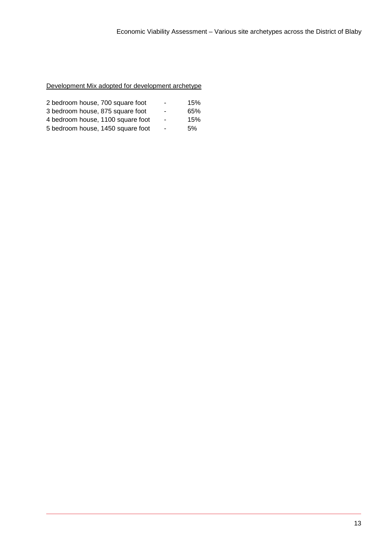| 2 bedroom house, 700 square foot  | ٠              | 15% |
|-----------------------------------|----------------|-----|
| 3 bedroom house, 875 square foot  | ٠              | 65% |
| 4 bedroom house, 1100 square foot | $\blacksquare$ | 15% |
| 5 bedroom house, 1450 square foot | $\sim$         | .5% |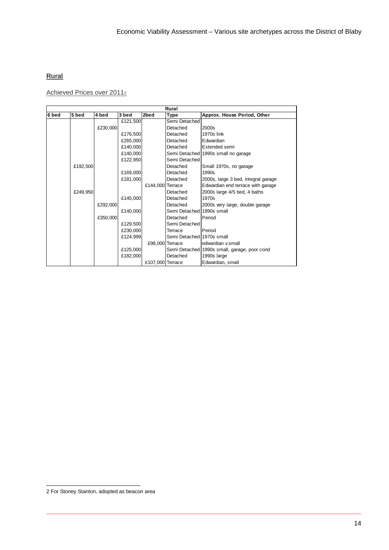### **Rural**

Achieved Prices over 2011<sup>2</sup>

|       | Rural    |          |          |                  |                           |                                              |
|-------|----------|----------|----------|------------------|---------------------------|----------------------------------------------|
| 6 bed | 5 bed    | 4 bed    | 3 bed    | 2bed             | Type                      | Approx. House Period, Other                  |
|       |          |          | £121,500 |                  | Semi Detached             |                                              |
|       |          | £230,000 |          |                  | Detached                  | 2000s                                        |
|       |          |          | £176,500 |                  | Detached                  | 1970s link                                   |
|       |          |          | £265,000 |                  | Detached                  | Edwardian                                    |
|       |          |          | £140,000 |                  | Detached                  | Extended semi                                |
|       |          |          | £140,000 |                  |                           | Semi Detached 1990s small no garage          |
|       |          |          | £122,950 |                  | Semi Detached             |                                              |
|       | £192,500 |          |          |                  | Detached                  | Small 1970s, no garage                       |
|       |          |          | £169,000 |                  | Detached                  | 1990s                                        |
|       |          |          | £181,000 |                  | Detached                  | 2000s, large 3 bed, integral garage          |
|       |          |          |          | £144,000 Terrace |                           | Edwardian end terrace with garage            |
|       | £249,950 |          |          |                  | Detached                  | 2000s large 4/5 bed, 4 baths                 |
|       |          |          | £145,000 |                  | Detached                  | 1970s                                        |
|       |          | £292,000 |          |                  | Detached                  | 2000s very large, double garage              |
|       |          |          | £140,000 |                  | Semi Detached 1990s small |                                              |
|       |          | £350,000 |          |                  | Detached                  | Period                                       |
|       |          |          | £129,500 |                  | Semi Detached             |                                              |
|       |          |          | £230,000 |                  | Terrace                   | Period                                       |
|       |          |          | £124,999 |                  | Semi Detached 1970s small |                                              |
|       |          |          |          | £98,000 Terrace  |                           | edwardian v.small                            |
|       |          |          | £125,000 |                  |                           | Semi Detached 1990s small, garage, poor cond |
|       |          |          | £182,000 |                  | Detached                  | 1990s large                                  |
|       |          |          |          | £107,000 Terrace |                           | Edwardian, small                             |

l

<sup>2</sup> For Stoney Stanton, adopted as beacon area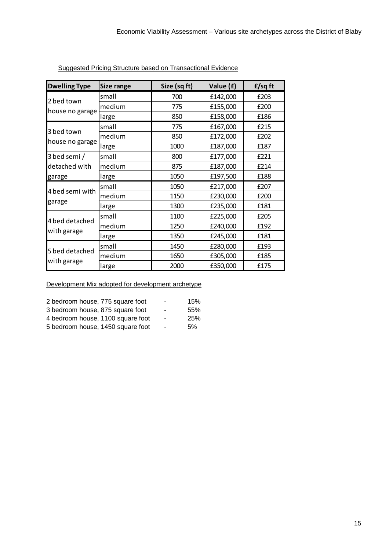| <b>Dwelling Type</b>          | <b>Size range</b> | Size (sq ft) | Value (£) | f/sqft |
|-------------------------------|-------------------|--------------|-----------|--------|
|                               | small             | 700          | £142,000  | £203   |
| 2 bed town                    | medium            | 775          | £155,000  | £200   |
| house no garage               | large             | 850          | £158,000  | £186   |
|                               | small             | 775          | £167,000  | £215   |
| 3 bed town                    | medium            | 850          | £172,000  | £202   |
| house no garage               | large             | 1000         | £187,000  | £187   |
| 3 bed semi /                  | small             | 800          | £177,000  | £221   |
| detached with<br>garage       | medium            | 875          | £187,000  | £214   |
|                               | large             | 1050         | £197,500  | £188   |
|                               | small             | 1050         | £217,000  | £207   |
| 4 bed semi with<br>garage     | medium            | 1150         | £230,000  | £200   |
|                               | large             | 1300         | £235,000  | £181   |
|                               | small             | 1100         | £225,000  | £205   |
| 4 bed detached<br>with garage | medium            | 1250         | £240,000  | £192   |
|                               | large             | 1350         | £245,000  | £181   |
| 5 bed detached                | small             | 1450         | £280,000  | £193   |
|                               | medium            | 1650         | £305,000  | £185   |
| with garage                   | large             | 2000         | £350,000  | £175   |

Suggested Pricing Structure based on Transactional Evidence

| 2 bedroom house, 775 square foot  | ۰              | 15% |
|-----------------------------------|----------------|-----|
| 3 bedroom house, 875 square foot  | ۰              | 55% |
| 4 bedroom house, 1100 square foot | $\blacksquare$ | 25% |
| 5 bedroom house, 1450 square foot | ٠              | .5% |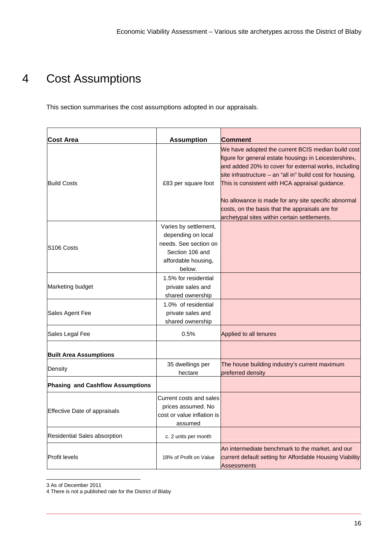## 4 Cost Assumptions

This section summarises the cost assumptions adopted in our appraisals.

| Cost Area                               | <b>Assumption</b>                                                                                                        | <b>Comment</b>                                                                                                                                                                                                                                                                                                                                                                                                                                   |
|-----------------------------------------|--------------------------------------------------------------------------------------------------------------------------|--------------------------------------------------------------------------------------------------------------------------------------------------------------------------------------------------------------------------------------------------------------------------------------------------------------------------------------------------------------------------------------------------------------------------------------------------|
| <b>Build Costs</b>                      | £83 per square foot                                                                                                      | We have adopted the current BCIS median build cost<br>figure for general estate housings in Leicestershire4,<br>and added 20% to cover for external works, including<br>site infrastructure $-$ an "all in" build cost for housing.<br>This is consistent with HCA appraisal guidance.<br>No allowance is made for any site specific abnormal<br>costs, on the basis that the appraisals are for<br>archetypal sites within certain settlements. |
| S <sub>106</sub> Costs                  | Varies by settlement,<br>depending on local<br>needs. See section on<br>Section 106 and<br>affordable housing,<br>below. |                                                                                                                                                                                                                                                                                                                                                                                                                                                  |
| Marketing budget                        | 1.5% for residential<br>private sales and<br>shared ownership                                                            |                                                                                                                                                                                                                                                                                                                                                                                                                                                  |
| Sales Agent Fee                         | 1.0% of residential<br>private sales and<br>shared ownership                                                             |                                                                                                                                                                                                                                                                                                                                                                                                                                                  |
| Sales Legal Fee                         | 0.5%                                                                                                                     | Applied to all tenures                                                                                                                                                                                                                                                                                                                                                                                                                           |
| <b>Built Area Assumptions</b>           |                                                                                                                          |                                                                                                                                                                                                                                                                                                                                                                                                                                                  |
| Density                                 | 35 dwellings per<br>hectare                                                                                              | The house building industry's current maximum<br>preferred density                                                                                                                                                                                                                                                                                                                                                                               |
| <b>Phasing and Cashflow Assumptions</b> |                                                                                                                          |                                                                                                                                                                                                                                                                                                                                                                                                                                                  |
| <b>Effective Date of appraisals</b>     | Current costs and sales<br>prices assumed. No<br>cost or value inflation is<br>assumed                                   |                                                                                                                                                                                                                                                                                                                                                                                                                                                  |
| Residential Sales absorption            | c. 2 units per month                                                                                                     |                                                                                                                                                                                                                                                                                                                                                                                                                                                  |
| <b>Profit levels</b>                    | 18% of Profit on Value                                                                                                   | An intermediate benchmark to the market, and our<br>current default setting for Affordable Housing Viability<br>Assessments                                                                                                                                                                                                                                                                                                                      |

l 3 As of December 2011

<sup>4</sup> There is not a published rate for the District of Blaby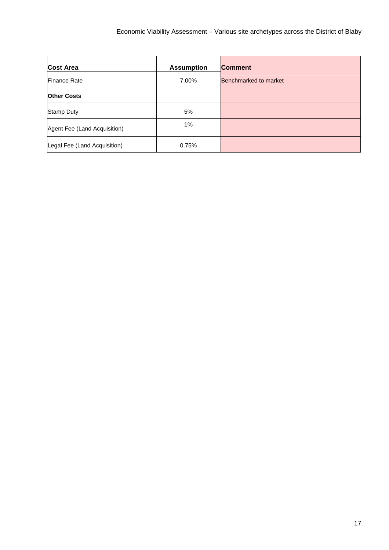| <b>Cost Area</b>             | <b>Assumption</b> | <b>Comment</b>        |
|------------------------------|-------------------|-----------------------|
| Finance Rate                 | 7.00%             | Benchmarked to market |
| <b>Other Costs</b>           |                   |                       |
| Stamp Duty                   | 5%                |                       |
| Agent Fee (Land Acquisition) | 1%                |                       |
| Legal Fee (Land Acquisition) | 0.75%             |                       |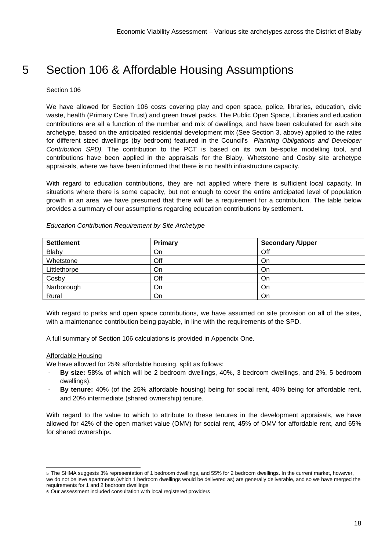## 5 Section 106 & Affordable Housing Assumptions

### Section 106

We have allowed for Section 106 costs covering play and open space, police, libraries, education, civic waste, health (Primary Care Trust) and green travel packs. The Public Open Space, Libraries and education contributions are all a function of the number and mix of dwellings, and have been calculated for each site archetype, based on the anticipated residential development mix (See Section 3, above) applied to the rates for different sized dwellings (by bedroom) featured in the Council's Planning Obligations and Developer Contribution SPD). The contribution to the PCT is based on its own be-spoke modelling tool, and contributions have been applied in the appraisals for the Blaby, Whetstone and Cosby site archetype appraisals, where we have been informed that there is no health infrastructure capacity.

With regard to education contributions, they are not applied where there is sufficient local capacity. In situations where there is some capacity, but not enough to cover the entire anticipated level of population growth in an area, we have presumed that there will be a requirement for a contribution. The table below provides a summary of our assumptions regarding education contributions by settlement.

| <b>Settlement</b> | Primary | <b>Secondary / Upper</b> |
|-------------------|---------|--------------------------|
| Blaby             | On      | Off                      |
| Whetstone         | Off     | On                       |
| Littlethorpe      | On      | On                       |
| Cosby             | Off     | On                       |
| Narborough        | On      | On                       |
| Rural             | On      | On                       |

### Education Contribution Requirement by Site Archetype

With regard to parks and open space contributions, we have assumed on site provision on all of the sites, with a maintenance contribution being payable, in line with the requirements of the SPD.

A full summary of Section 106 calculations is provided in Appendix One.

### Affordable Housing

We have allowed for 25% affordable housing, split as follows:

- **By size:** 58%5 of which will be 2 bedroom dwellings, 40%, 3 bedroom dwellings, and 2%, 5 bedroom dwellings),
- **By tenure:** 40% (of the 25% affordable housing) being for social rent, 40% being for affordable rent, and 20% intermediate (shared ownership) tenure.

With regard to the value to which to attribute to these tenures in the development appraisals, we have allowed for 42% of the open market value (OMV) for social rent, 45% of OMV for affordable rent, and 65% for shared ownership6.

l 5 The SHMA suggests 3% representation of 1 bedroom dwellings, and 55% for 2 bedroom dwellings. In the current market, however, we do not believe apartments (which 1 bedroom dwellings would be delivered as) are generally deliverable, and so we have merged the requirements for 1 and 2 bedroom dwellings

<sup>6</sup> Our assessment included consultation with local registered providers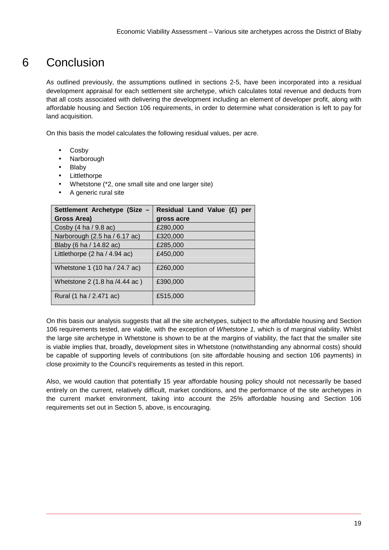## 6 Conclusion

As outlined previously, the assumptions outlined in sections 2-5, have been incorporated into a residual development appraisal for each settlement site archetype, which calculates total revenue and deducts from that all costs associated with delivering the development including an element of developer profit, along with affordable housing and Section 106 requirements, in order to determine what consideration is left to pay for land acquisition.

On this basis the model calculates the following residual values, per acre.

- Cosby
- Narborough
- Blaby
- **Littlethorpe**
- Whetstone (\*2, one small site and one larger site)
- A generic rural site

| Settlement Archetype (Size -           | Residual Land Value (£)<br>per |
|----------------------------------------|--------------------------------|
| Gross Area)                            | gross acre                     |
| Cosby $(4 \text{ ha } 9.8 \text{ ac})$ | £280,000                       |
| Narborough (2.5 ha / 6.17 ac)          | £320,000                       |
| Blaby (6 ha / 14.82 ac)                | £285,000                       |
| Littlethorpe (2 ha / 4.94 ac)          | £450,000                       |
| Whetstone 1 (10 ha / 24.7 ac)          | £260,000                       |
| Whetstone 2 (1.8 ha /4.44 ac)          | £390,000                       |
| Rural (1 ha / 2.471 ac)                | £515,000                       |

On this basis our analysis suggests that all the site archetypes, subject to the affordable housing and Section 106 requirements tested, are viable, with the exception of Whetstone 1, which is of marginal viability. Whilst the large site archetype in Whetstone is shown to be at the margins of viability, the fact that the smaller site is viable implies that, broadly, development sites in Whetstone (notwithstanding any abnormal costs) should be capable of supporting levels of contributions (on site affordable housing and section 106 payments) in close proximity to the Council's requirements as tested in this report.

Also, we would caution that potentially 15 year affordable housing policy should not necessarily be based entirely on the current, relatively difficult, market conditions, and the performance of the site archetypes in the current market environment, taking into account the 25% affordable housing and Section 106 requirements set out in Section 5, above, is encouraging.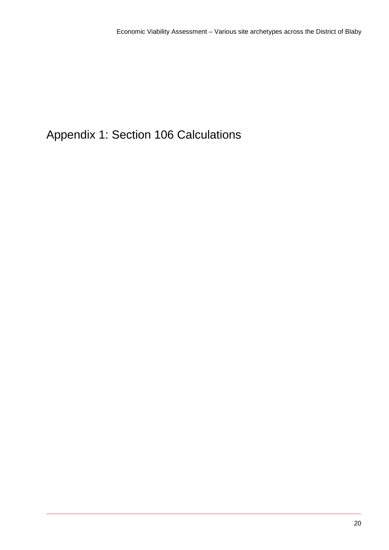## Appendix 1: Section 106 Calculations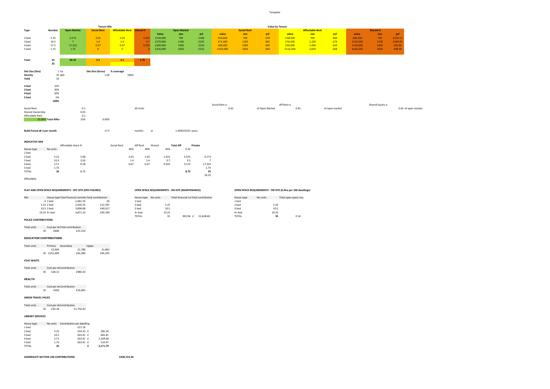Template

26.25

Affordable

|                                     |                      |                    | <b>Tenure Mix</b>         |                          |                            |              |                    |                |                 |                    |                | Value by Tenure |                        |                |          |                  |                     |
|-------------------------------------|----------------------|--------------------|---------------------------|--------------------------|----------------------------|--------------|--------------------|----------------|-----------------|--------------------|----------------|-----------------|------------------------|----------------|----------|------------------|---------------------|
| Type                                | Number               | <b>Open Market</b> | <b>Social Rent</b>        | Affordable Rent Shared O |                            |              | <b>Open Market</b> |                |                 | <b>Social Rent</b> |                |                 | <b>Affordable Rent</b> |                |          | <b>Shared O</b>  |                     |
|                                     |                      |                    |                           |                          |                            | Value        | size               | psf            | value           | size               | psf            | value           | size                   | psf            | value    | size             | psf                 |
| 2 bed                               | 5.25                 | 0.175              | 2.03                      | 2.03                     | 1.015                      | £130,000     | 700                | £186           | £54,600         | 700                | £78            | £58,500         | 700                    | £84            | £84,500  | 700              | £120.71             |
| 3 bed                               | 10.5                 | $7^{\circ}$        | 1.4                       | 1.4                      | 0.7                        | £170,000     | 1100               | £155           | £71,400         | 1100               | £65            | £76,500         | 1,100                  | £70            | £110,500 | 1100             | £100.45             |
| 4 bed                               | 17.5                 | 17.325             | 0.07                      | 0.07                     | 0.035                      | £200,000     | 1400               | £143           | £84,000         | 1400               | £60            | £90,000         | 1,400                  | £64            | £130,000 | 1400             | £92.86              |
| 5 bed                               | 1.75                 | 1.75               | $\overline{0}$            | $\overline{\mathbf{0}}$  |                            | £250,000     | 1650               | £152           | £105,000        | 1650               | £64            | £112,500        | 1,650                  | £68            | £162,500 | 1650             | £98.48              |
| Total                               | 35<br>35             | 26.25              | 3.5                       | 3.5                      | 1.75                       |              |                    |                |                 |                    |                |                 |                        |                |          |                  |                     |
| Site Size (Dev)<br>Density<br>Yeild | 1 ha<br>35 dph<br>35 |                    | Site Size (Gross)<br>1.00 | % coverage               | 100%                       |              |                    |                |                 |                    |                |                 |                        |                |          |                  |                     |
| 2 bed<br>3 bed<br>4 bed             | 15%<br>30%<br>50%    |                    |                           |                          |                            |              |                    |                |                 |                    |                |                 |                        |                |          |                  |                     |
| 5 bed                               | 5%                   |                    |                           |                          |                            |              |                    |                |                 |                    |                |                 |                        |                |          |                  |                     |
|                                     | 100%                 |                    |                           |                          |                            |              |                    |                |                 |                    |                |                 |                        |                |          |                  |                     |
|                                     |                      |                    |                           |                          |                            |              |                    |                | Social Rent is  |                    |                | Aff Rent is     |                        |                |          | Shared Equity is |                     |
| Social Rent                         |                      |                    | 0.1                       |                          | All Units                  |              |                    |                | 0.42            |                    | of Open Market | 0.45            |                        | of open market |          |                  | 0.65 of open market |
| Shared Ownership<br>Affordable Rent |                      | 0.05               | 0.1                       |                          |                            |              |                    |                |                 |                    |                |                 |                        |                |          |                  |                     |
|                                     | 25.00% Total Affor   | 25%                | 0.00%                     |                          |                            |              |                    |                |                 |                    |                |                 |                        |                |          |                  |                     |
| Build Period @ 2 per month          |                      |                    | 17.5                      |                          | months                     | or           | 1.458333333 years  |                |                 |                    |                |                 |                        |                |          |                  |                     |
| <b>INDICATIVE MIX</b>               |                      |                    |                           |                          |                            |              |                    |                |                 |                    |                |                 |                        |                |          |                  |                     |
|                                     |                      | Affordable share % |                           | Social Rent              | Aff Rent                   | Shared       | <b>Total Aff</b>   | Private        |                 |                    |                |                 |                        |                |          |                  |                     |
| House type                          | No units             |                    |                           |                          | 40%<br>40%                 | 20%          | 0.25               |                |                 |                    |                |                 |                        |                |          |                  |                     |
| 1 bed                               |                      |                    |                           |                          |                            |              |                    |                |                 |                    |                |                 |                        |                |          |                  |                     |
| 2 bed                               | 5.25                 | 5.08<br>3.50       |                           |                          | 2.03<br>2.03               | 1.015<br>0.7 | 5.075<br>3.5       | 0.175          | $7\overline{ }$ |                    |                |                 |                        |                |          |                  |                     |
| 3 bed<br>4 bed                      | 10.5                 | 0.18               |                           |                          | 1.4<br>1.4<br>0.07<br>0.07 |              | 0.175              |                |                 |                    |                |                 |                        |                |          |                  |                     |
| 5 bed                               | 17.5<br>1.75         |                    |                           |                          |                            | 0.035        |                    | 17.325<br>1.75 |                 |                    |                |                 |                        |                |          |                  |                     |
| <b>TOTAL</b>                        | 35                   | 8.75               |                           |                          |                            |              | 8.75               |                | 35              |                    |                |                 |                        |                |          |                  |                     |
|                                     |                      |                    |                           |                          |                            |              |                    |                |                 |                    |                |                 |                        |                |          |                  |                     |

#### **PLAY AND OPEN SPACE REQUIREMENTS - OFF SITE (SPD FIGURES) OPEN SPACE REQUIREMENTS - ON SITE (MAINTENANCE) OPEN SPACE REQUIREMENTS - ON SITE (0.4ha per 100 dwellings)**

| House type   | No units |       | Total open space re |      |
|--------------|----------|-------|---------------------|------|
| 1 bed        |          |       |                     |      |
| 2 bed        |          | 5.25  |                     |      |
| 3 bed        |          | 10.5  |                     |      |
| 4+ hed       |          | 19.25 |                     |      |
| <b>TOTAL</b> |          | 35    |                     | 0.14 |

| Mix |              | House type Total financial contribu Total contribution |         | House type No units | Total financial corTotal contribution | House type | No units<br>Total open space reg |
|-----|--------------|--------------------------------------------------------|---------|---------------------|---------------------------------------|------------|----------------------------------|
|     | 0 1 bed      | 1,461.33                                               | £0      | 1 bed               |                                       | 1 bed      |                                  |
|     | 5.25 2 bed   | 2,435.55                                               | £12,787 | 2 bed               | 5.25                                  | 2 bed      | 5.25                             |
|     | 10.5 3 bed   | 3.896.88                                               | £40.917 | 3 bed               | 10.5                                  | 3 bed      | 10.5                             |
|     | 19.25 4+ bed | 4.871.10                                               | £93,769 | $4+$ bed            | 19.25                                 | $4+$ bed   | 19.25                            |

| House type | No units | Total financial corTotal contribution |           | House type | No units |       | Total open space reg |
|------------|----------|---------------------------------------|-----------|------------|----------|-------|----------------------|
| 1 bed      |          |                                       |           | 1 bed      |          |       |                      |
| 2 bed      | 5.25     |                                       |           | 2 bed      |          | 5.25  |                      |
| 3 bed      | 10.5     |                                       |           | 3 bed      |          | 10.5  |                      |
| 4+ hed     | 19.25    |                                       |           | $4+$ bed   |          | 19.25 |                      |
| TOTAL      | 35       | 903.96 £                              | 31.638.60 | TOTAL      |          | 35    | 0.14                 |
|            |          |                                       |           |            |          |       |                      |

#### **POLICE CONTRIBUTIONS**

Total units Cost per dwelling Total contribution <sup>35</sup> £606 £21,210

#### **EDUCATION CONTRIBUTIONS**

| Total units | Primary     | Secondary | Upper   |         |
|-------------|-------------|-----------|---------|---------|
|             | £2.904      |           | £1.788  | £1.863  |
|             | 35 £101.640 |           | £62.580 | £65,205 |

**CIVIC WASTE**

Total units Cost per dwelling Contribution <sup>35</sup> £28.12 £984.20

**HEALTH**

Total units Cost per dwelling Contribution <sup>35</sup> £459 £16,065

#### **GREEN TRAVEL PACKS**

Total units Cost per dwelling Contribution <sup>35</sup> £50.18 £1,756.30

#### **LIBRARY SERVICES**

| House type | No units | Contribution per dwelling |          |
|------------|----------|---------------------------|----------|
| 1 bed      |          | £27.18                    |          |
| 2 bed      | 5.25     | f54.35 f                  | 285.34   |
| 3 bed      | 10.5     | £63.41 £                  | 665.81   |
| 4 bed      | 17.5     | £63.41 £                  | 1.109.68 |
| 5 bed      | 1.75     | £63.41 £                  | 110.97   |
| TOTAL      | 35       |                           | 2.171.79 |

**AGGREGATE SECTION 106 CONTRIBUTIONS £450,723.44**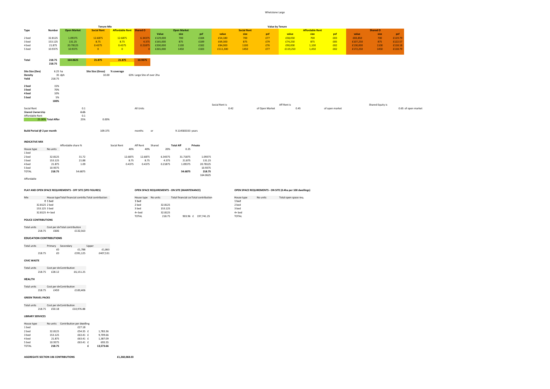#### Whetstone Large

|                                |                          |                                                           | <b>Tenure Mix</b>                                      |                                 |                            |          |                                                 |          |                |                    |                | <b>Value by Tenure</b>                                      |                        |                |          |                  |                     |
|--------------------------------|--------------------------|-----------------------------------------------------------|--------------------------------------------------------|---------------------------------|----------------------------|----------|-------------------------------------------------|----------|----------------|--------------------|----------------|-------------------------------------------------------------|------------------------|----------------|----------|------------------|---------------------|
| Type                           | Number                   | <b>Open Market</b>                                        | <b>Social Rent</b>                                     | <b>Affordable Rent Shared O</b> |                            |          | <b>Open Market</b>                              |          |                | <b>Social Rent</b> |                |                                                             | <b>Affordable Rent</b> |                |          | <b>Shared O</b>  |                     |
|                                |                          |                                                           |                                                        |                                 |                            | Value    | size                                            | psf      | value          | size               | psf            | value                                                       | size                   | psf            | value    | size             | psf                 |
| 2 bed                          | 32.8125                  | 1.09375                                                   | 12.6875                                                | 12.6875                         | 6.34375                    | £129,000 | 700                                             | £184     | £54,180        | 700                | £77            | £58,050                                                     | 700                    | £83            | £83,850  | 700              | £119.79             |
| 3 bed                          | 153.125                  | 131.25                                                    | 8.75                                                   | 8.75                            | 4.375                      | £165,000 | 875                                             | £189     | £69,300        | 875                | £79            | £74,250                                                     | 875                    | £85            | £107,250 | 875              | £122.57             |
| 4 bed                          | 21.875                   | 20.78125                                                  | 0.4375                                                 | 0.4375                          | 0.21875                    | £200,000 | 1100                                            | £182     | £84,000        | 1100               | £76            | £90,000                                                     | 1,100                  | £82            | £130,000 | 1100             | £118.18             |
| 5 bed                          | 10.9375                  | 10.9375                                                   | $\overline{0}$                                         | $\overline{\mathbf{0}}$         |                            | £265,000 | 1450                                            | £183     | £111,300       | 1450               | £77            | £119,250                                                    | 1,450                  | £82            | £172,250 | 1450             | £118.79             |
|                                |                          |                                                           |                                                        |                                 |                            |          |                                                 |          |                |                    |                |                                                             |                        |                |          |                  |                     |
| Total                          | 218.75<br>218.75         | 164.0625                                                  | 21.875                                                 | 21.875                          | 10.9375                    |          |                                                 |          |                |                    |                |                                                             |                        |                |          |                  |                     |
| Site Size (Dev)                | 6.25 ha                  |                                                           | Site Size (Gross)                                      | % coverage                      |                            |          |                                                 |          |                |                    |                |                                                             |                        |                |          |                  |                     |
| <b>Density</b>                 | 35 dph                   |                                                           | 10.00                                                  |                                 | 63% Large Site of over 2ha |          |                                                 |          |                |                    |                |                                                             |                        |                |          |                  |                     |
| Yeild                          | 218.75                   |                                                           |                                                        |                                 |                            |          |                                                 |          |                |                    |                |                                                             |                        |                |          |                  |                     |
|                                |                          |                                                           |                                                        |                                 |                            |          |                                                 |          |                |                    |                |                                                             |                        |                |          |                  |                     |
| 2 bed                          | 15%                      |                                                           |                                                        |                                 |                            |          |                                                 |          |                |                    |                |                                                             |                        |                |          |                  |                     |
| 3 bed                          | 70%                      |                                                           |                                                        |                                 |                            |          |                                                 |          |                |                    |                |                                                             |                        |                |          |                  |                     |
| 4 bed                          | 10%                      |                                                           |                                                        |                                 |                            |          |                                                 |          |                |                    |                |                                                             |                        |                |          |                  |                     |
| 5 bed                          | 5%                       |                                                           |                                                        |                                 |                            |          |                                                 |          |                |                    |                |                                                             |                        |                |          |                  |                     |
|                                | 100%                     |                                                           |                                                        |                                 |                            |          |                                                 |          |                |                    |                |                                                             |                        |                |          |                  |                     |
|                                |                          |                                                           |                                                        |                                 |                            |          |                                                 |          | Social Rent is |                    |                | Aff Rent is                                                 |                        |                |          | Shared Equity is |                     |
| Social Rent                    |                          |                                                           | 0.1                                                    |                                 | All Units                  |          |                                                 |          | 0.42           |                    | of Open Market | 0.45                                                        |                        | of open market |          |                  | 0.65 of open market |
| Shared Ownership               |                          | 0.05                                                      |                                                        |                                 |                            |          |                                                 |          |                |                    |                |                                                             |                        |                |          |                  |                     |
| Affordable Rent                |                          |                                                           | 0.1                                                    |                                 |                            |          |                                                 |          |                |                    |                |                                                             |                        |                |          |                  |                     |
|                                | 25.00% Total Affor       |                                                           | 25%<br>0.00%                                           |                                 |                            |          |                                                 |          |                |                    |                |                                                             |                        |                |          |                  |                     |
| Build Period @ 2 per month     |                          |                                                           | 109.375                                                |                                 | months                     | or       | 9.114583333 years                               |          |                |                    |                |                                                             |                        |                |          |                  |                     |
|                                |                          |                                                           |                                                        |                                 |                            |          |                                                 |          |                |                    |                |                                                             |                        |                |          |                  |                     |
| <b>INDICATIVE MIX</b>          |                          |                                                           |                                                        |                                 |                            |          |                                                 |          |                |                    |                |                                                             |                        |                |          |                  |                     |
|                                |                          | Affordable share %                                        |                                                        | Social Rent                     | Aff Rent                   | Shared   | <b>Total Aff</b><br>Private                     |          |                |                    |                |                                                             |                        |                |          |                  |                     |
| House type                     | No units                 |                                                           |                                                        | 40%                             | 40%                        | 20%      | 0.25                                            |          |                |                    |                |                                                             |                        |                |          |                  |                     |
| 1 bed                          |                          |                                                           |                                                        |                                 |                            |          |                                                 |          |                |                    |                |                                                             |                        |                |          |                  |                     |
| 2 bed                          | 32.8125                  | 31.72                                                     |                                                        | 12.6875                         | 12.6875                    | 6.34375  | 31.71875                                        | 1.09375  |                |                    |                |                                                             |                        |                |          |                  |                     |
| 3 bed                          | 153.125                  | 21.88                                                     |                                                        | 8.75                            | 8.75                       | 4.375    | 21.875                                          | 131.25   |                |                    |                |                                                             |                        |                |          |                  |                     |
| 4 bed                          | 21.875                   | 1.09                                                      |                                                        | 0.4375                          | 0.4375                     | 0.21875  | 1.09375                                         | 20.78125 |                |                    |                |                                                             |                        |                |          |                  |                     |
| 5 bed                          | 10.9375                  |                                                           |                                                        |                                 |                            |          |                                                 | 10.9375  |                |                    |                |                                                             |                        |                |          |                  |                     |
| <b>TOTAL</b>                   | 218.75                   | 54.6875                                                   |                                                        |                                 |                            |          | 54.6875                                         | 218.75   |                |                    |                |                                                             |                        |                |          |                  |                     |
| Affordable                     |                          |                                                           |                                                        |                                 |                            |          |                                                 | 164.0625 |                |                    |                |                                                             |                        |                |          |                  |                     |
|                                |                          |                                                           |                                                        |                                 |                            |          |                                                 |          |                |                    |                |                                                             |                        |                |          |                  |                     |
|                                |                          | PLAY AND OPEN SPACE REQUIREMENTS - OFF SITE (SPD FIGURES) |                                                        |                                 |                            |          | OPEN SPACE REQUIREMENTS - ON SITE (MAINTENANCE) |          |                |                    |                | OPEN SPACE REQUIREMENTS - ON SITE (0.4ha per 100 dwellings) |                        |                |          |                  |                     |
| Mix                            |                          |                                                           | House type Total financial contribu Total contribution |                                 | House type No units        |          | Total financial corTotal contribution           |          |                | House type         | No units       | Total open space req.                                       |                        |                |          |                  |                     |
|                                | $01$ bed                 |                                                           |                                                        |                                 | 1 bed                      |          |                                                 |          |                | 1 bed              |                |                                                             |                        |                |          |                  |                     |
| 32.8125 2 bed                  |                          |                                                           |                                                        |                                 | 2 bed                      | 32.8125  |                                                 |          |                | 2 bed              |                |                                                             |                        |                |          |                  |                     |
| 153.125 3 bed                  |                          |                                                           |                                                        |                                 | 3 bed                      | 153.125  |                                                 |          |                | 3 bed              |                |                                                             |                        |                |          |                  |                     |
| 32.8125 4+ bed                 |                          |                                                           |                                                        |                                 | $4+$ bed                   | 32.8125  |                                                 |          |                | $4+$ bed           |                |                                                             |                        |                |          |                  |                     |
|                                |                          |                                                           |                                                        |                                 | <b>TOTAL</b>               | 218.75   | 903.96 £ 197,741.25                             |          |                | <b>TOTAL</b>       |                |                                                             |                        |                |          |                  |                     |
| POLICE CONTRIBUTIONS           |                          |                                                           |                                                        |                                 |                            |          |                                                 |          |                |                    |                |                                                             |                        |                |          |                  |                     |
| Total units                    |                          | Cost per dv Total contribution                            |                                                        |                                 |                            |          |                                                 |          |                |                    |                |                                                             |                        |                |          |                  |                     |
| 218.75                         | £606                     | £132,563                                                  |                                                        |                                 |                            |          |                                                 |          |                |                    |                |                                                             |                        |                |          |                  |                     |
| <b>EDUCATION CONTRIBUTIONS</b> |                          |                                                           |                                                        |                                 |                            |          |                                                 |          |                |                    |                |                                                             |                        |                |          |                  |                     |
|                                |                          |                                                           |                                                        |                                 |                            |          |                                                 |          |                |                    |                |                                                             |                        |                |          |                  |                     |
| Total units                    | Primary Secondary<br>£0  | £1,788                                                    | Upper<br>£1,863                                        |                                 |                            |          |                                                 |          |                |                    |                |                                                             |                        |                |          |                  |                     |
| 218.75                         | £0                       | £391,125                                                  | £407,531                                               |                                 |                            |          |                                                 |          |                |                    |                |                                                             |                        |                |          |                  |                     |
| <b>CIVIC WASTE</b>             |                          |                                                           |                                                        |                                 |                            |          |                                                 |          |                |                    |                |                                                             |                        |                |          |                  |                     |
| Total units                    | Cost per dv Contribution |                                                           |                                                        |                                 |                            |          |                                                 |          |                |                    |                |                                                             |                        |                |          |                  |                     |
|                                |                          |                                                           |                                                        |                                 |                            |          |                                                 |          |                |                    |                |                                                             |                        |                |          |                  |                     |

Cost per dwelling Contribution 218.75 £28.12 £6,151.25

**HEALTH**

Total units Cost per dwelling Contribution 218.75 £459 £100,406

#### **GREEN TRAVEL PACKS**

Total units Cost per dwelling Contribution 218.75 £50.18 £10,976.88

#### **LIBRARY SERVICES**

| House type   | No units | Contribution per dwelling |   |           |
|--------------|----------|---------------------------|---|-----------|
| 1 bed        |          | £27.18                    |   |           |
| 2 bed        | 32.8125  | £54.35 £                  |   | 1,783.36  |
| 3 bed        | 153.125  | £63.41 £                  |   | 9,709.66  |
| 4 bed        | 21.875   | £63.41 £                  |   | 1.387.09  |
| 5 bed        | 10.9375  | £63.41 £                  |   | 693.55    |
| <b>TOTAL</b> | 218.75   |                           | £ | 13.573.66 |

**AGGREGATE SECTION 106 CONTRIBUTIONS £1,260,068.03**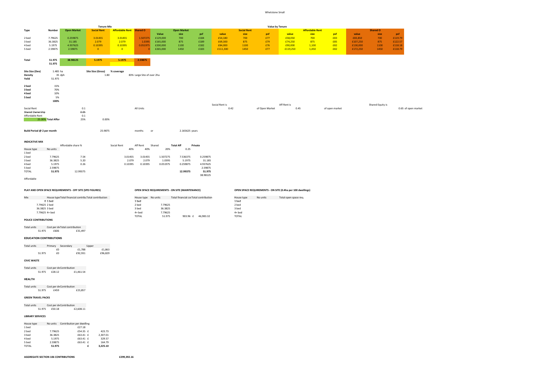#### Whetstone Small

|                                |                           |                                                           | <b>Tenure Mix</b>                                      |                                 |                            |                    |                                                 |                    |                |                    | Value by Tenure |                                                             |                        |                |          |                  |                     |
|--------------------------------|---------------------------|-----------------------------------------------------------|--------------------------------------------------------|---------------------------------|----------------------------|--------------------|-------------------------------------------------|--------------------|----------------|--------------------|-----------------|-------------------------------------------------------------|------------------------|----------------|----------|------------------|---------------------|
| Type                           | Number                    | <b>Open Market</b>                                        | <b>Social Rent</b>                                     | <b>Affordable Rent Shared O</b> |                            |                    | <b>Open Market</b>                              |                    |                | <b>Social Rent</b> |                 |                                                             | <b>Affordable Rent</b> |                |          | <b>Shared O</b>  |                     |
|                                |                           |                                                           |                                                        |                                 |                            | Value              | size                                            | psf                | value          | size               | psf             | value                                                       | size                   | psf            | value    | size             | psf                 |
| 2 bed                          | 7.79625                   | 0.259875                                                  | 3.01455                                                | 3.01455                         | 1.507275                   | £129,000           | 700                                             | £184               | £54,180        | 700                | £77             | £58,050                                                     | 700                    | £83            | £83,850  | 700              | £119.79             |
| 3 bed                          | 36.3825                   | 31.185                                                    | 2.079                                                  | 2.079                           | 1.0395                     | £165,000           | 875                                             | £189               | £69,300        | 875                | £79             | £74,250                                                     | 875                    | £85            | £107,250 | 875              | £122.57             |
| 4 bed                          | 5.1975                    | 4.937625                                                  | 0.10395                                                | 0.10395                         | 0.051975                   | £200,000           | 1100                                            | £182               | £84,000        | 1100               | £76             | £90,000                                                     | 1,100                  | £82            | £130,000 | 1100             | £118.18             |
| 5 bed                          | 2.59875                   | 2.59875                                                   | $\overline{\mathbf{0}}$                                | $\overline{\mathbf{0}}$         |                            | £265,000           | 1450                                            | £183               | £111,300       | 1450               | £77             | £119,250                                                    | 1,450                  | £82            | £172,250 | 1450             | £118.79             |
| Total                          | 51.975                    | 38.98125                                                  | 5.1975                                                 | 5.1975                          | 2.59875                    |                    |                                                 |                    |                |                    |                 |                                                             |                        |                |          |                  |                     |
|                                | 51.975                    |                                                           |                                                        |                                 |                            |                    |                                                 |                    |                |                    |                 |                                                             |                        |                |          |                  |                     |
| Site Size (Dev)                | 1.485 ha                  |                                                           | Site Size (Gross)                                      | % coverage                      |                            |                    |                                                 |                    |                |                    |                 |                                                             |                        |                |          |                  |                     |
| Density<br>Yeild               | 35 dph<br>51.975          |                                                           | 1.80                                                   |                                 | 83% Large Site of over 2ha |                    |                                                 |                    |                |                    |                 |                                                             |                        |                |          |                  |                     |
| 2 bed                          | 15%                       |                                                           |                                                        |                                 |                            |                    |                                                 |                    |                |                    |                 |                                                             |                        |                |          |                  |                     |
| 3 bed                          | 70%                       |                                                           |                                                        |                                 |                            |                    |                                                 |                    |                |                    |                 |                                                             |                        |                |          |                  |                     |
| 4 bed                          | 10%                       |                                                           |                                                        |                                 |                            |                    |                                                 |                    |                |                    |                 |                                                             |                        |                |          |                  |                     |
| 5 bed                          | 5%                        |                                                           |                                                        |                                 |                            |                    |                                                 |                    |                |                    |                 |                                                             |                        |                |          |                  |                     |
|                                | 100%                      |                                                           |                                                        |                                 |                            |                    |                                                 |                    |                |                    |                 |                                                             |                        |                |          |                  |                     |
|                                |                           |                                                           |                                                        |                                 |                            |                    |                                                 |                    | Social Rent is |                    |                 | Aff Rent is                                                 |                        |                |          | Shared Equity is |                     |
| Social Rent                    |                           | 0.1                                                       |                                                        |                                 | All Units                  |                    |                                                 |                    | 0.42           |                    | of Open Market  | 0.45                                                        |                        | of open market |          |                  | 0.65 of open market |
| Shared Ownership               |                           | 0.05                                                      |                                                        |                                 |                            |                    |                                                 |                    |                |                    |                 |                                                             |                        |                |          |                  |                     |
| Affordable Rent                | 25.00% Total Affor        | 0.1<br>25%                                                | 0.00%                                                  |                                 |                            |                    |                                                 |                    |                |                    |                 |                                                             |                        |                |          |                  |                     |
|                                |                           |                                                           |                                                        |                                 |                            |                    |                                                 |                    |                |                    |                 |                                                             |                        |                |          |                  |                     |
| Build Period @ 2 per month     |                           |                                                           | 25.9875                                                |                                 | months                     | or                 | 2.165625 years                                  |                    |                |                    |                 |                                                             |                        |                |          |                  |                     |
|                                |                           |                                                           |                                                        |                                 |                            |                    |                                                 |                    |                |                    |                 |                                                             |                        |                |          |                  |                     |
| <b>INDICATIVE MIX</b>          |                           |                                                           |                                                        |                                 |                            |                    |                                                 |                    |                |                    |                 |                                                             |                        |                |          |                  |                     |
|                                |                           | Affordable share %                                        |                                                        | Social Rent                     | Aff Rent                   | Shared             | <b>Total Aff</b>                                | Private            |                |                    |                 |                                                             |                        |                |          |                  |                     |
| House type                     | No units                  |                                                           |                                                        | 40%                             | 40%                        | 20%                | 0.25                                            |                    |                |                    |                 |                                                             |                        |                |          |                  |                     |
| 1 bed                          |                           |                                                           |                                                        |                                 |                            |                    |                                                 |                    |                |                    |                 |                                                             |                        |                |          |                  |                     |
| 2 bed                          | 7.79625                   | 7.54                                                      |                                                        | 3.01455                         | 3.01455                    | 1.507275           | 7.536375                                        | 0.259875           |                |                    |                 |                                                             |                        |                |          |                  |                     |
| 3 bed                          | 36.3825                   | 5.20                                                      |                                                        | 2.079                           | 2.079                      | 1.0395             | 5.1975                                          | 31.185             |                |                    |                 |                                                             |                        |                |          |                  |                     |
| 4 bed                          | 5.1975                    | 0.26                                                      |                                                        | 0.10395                         | 0.10395                    | 0.051975           | 0.259875                                        | 4.937625           |                |                    |                 |                                                             |                        |                |          |                  |                     |
| 5 bed                          | 2.59875                   |                                                           |                                                        |                                 |                            |                    |                                                 | 2.59875            |                |                    |                 |                                                             |                        |                |          |                  |                     |
| <b>TOTAL</b>                   | 51.975                    | 12.99375                                                  |                                                        |                                 |                            |                    | 12.99375                                        | 51.975             |                |                    |                 |                                                             |                        |                |          |                  |                     |
| Affordable                     |                           |                                                           |                                                        |                                 |                            |                    |                                                 | 38.98125           |                |                    |                 |                                                             |                        |                |          |                  |                     |
|                                |                           |                                                           |                                                        |                                 |                            |                    |                                                 |                    |                |                    |                 |                                                             |                        |                |          |                  |                     |
|                                |                           | PLAY AND OPEN SPACE REQUIREMENTS - OFF SITE (SPD FIGURES) |                                                        |                                 |                            |                    | OPEN SPACE REQUIREMENTS - ON SITE (MAINTENANCE) |                    |                |                    |                 | OPEN SPACE REQUIREMENTS - ON SITE (0.4ha per 100 dwellings) |                        |                |          |                  |                     |
|                                |                           |                                                           |                                                        |                                 |                            |                    |                                                 |                    |                |                    |                 |                                                             |                        |                |          |                  |                     |
| Mix                            |                           |                                                           | House type Total financial contribu Total contribution |                                 | House type No units        |                    | Total financial corTotal contribution           |                    |                | House type         | No units        | Total open space req.                                       |                        |                |          |                  |                     |
|                                | $01$ bed<br>7.79625 2 bed |                                                           |                                                        |                                 | 1 bed                      |                    |                                                 |                    |                | 1 bed              |                 |                                                             |                        |                |          |                  |                     |
|                                | 36.3825 3 bed             |                                                           |                                                        |                                 | 2 bed<br>3 bed             | 7.79625<br>36.3825 |                                                 |                    |                | 2 bed<br>3 bed     |                 |                                                             |                        |                |          |                  |                     |
|                                | 7.79625 4+ bed            |                                                           |                                                        |                                 | $4+$ bed                   | 7.79625            |                                                 |                    |                | $4+$ bed           |                 |                                                             |                        |                |          |                  |                     |
|                                |                           |                                                           |                                                        |                                 | TOTAL                      | 51.975             |                                                 | 903.96 £ 46,983.32 |                | <b>TOTAL</b>       |                 |                                                             |                        |                |          |                  |                     |
| POLICE CONTRIBUTIONS           |                           |                                                           |                                                        |                                 |                            |                    |                                                 |                    |                |                    |                 |                                                             |                        |                |          |                  |                     |
|                                | 51.975 £606               | Total units Cost per dv Total contribution<br>£31,497     |                                                        |                                 |                            |                    |                                                 |                    |                |                    |                 |                                                             |                        |                |          |                  |                     |
| <b>EDUCATION CONTRIBUTIONS</b> |                           |                                                           |                                                        |                                 |                            |                    |                                                 |                    |                |                    |                 |                                                             |                        |                |          |                  |                     |
|                                |                           | Total units Primary Secondary Upper                       |                                                        |                                 |                            |                    |                                                 |                    |                |                    |                 |                                                             |                        |                |          |                  |                     |
|                                | £0                        | £1,788                                                    | £1,863                                                 |                                 |                            |                    |                                                 |                    |                |                    |                 |                                                             |                        |                |          |                  |                     |
| 51.975                         | £0                        | £92,931                                                   | £96,829                                                |                                 |                            |                    |                                                 |                    |                |                    |                 |                                                             |                        |                |          |                  |                     |
|                                |                           |                                                           |                                                        |                                 |                            |                    |                                                 |                    |                |                    |                 |                                                             |                        |                |          |                  |                     |
| <b>CIVIC WASTE</b>             |                           |                                                           |                                                        |                                 |                            |                    |                                                 |                    |                |                    |                 |                                                             |                        |                |          |                  |                     |

Total units Cost per dwelling Contribution 51.975 £28.12 £1,461.54

**HEALTH**

Total units Cost per dwelling Contribution 51.975 £459 £23,857

#### **GREEN TRAVEL PACKS**

Total units Cost per dwelling Contribution 51.975 £50.18 £2,608.11

#### **LIBRARY SERVICES**

| House type   | No units | Contribution per dwelling |   |          |
|--------------|----------|---------------------------|---|----------|
| 1 bed        |          | £27.18                    |   |          |
| 2 bed        | 7.79625  | £54.35 £                  |   | 423.73   |
| 3 bed        | 36.3825  | £63.41 £                  |   | 2.307.01 |
| 4 bed        | 5.1975   | £63.41 £                  |   | 329.57   |
| 5 bed        | 2.59875  | £63.41 £                  |   | 164.79   |
| <b>TOTAL</b> | 51.975   |                           | f | 3.225.10 |

**AGGREGATE SECTION 106 CONTRIBUTIONS £299,392.16**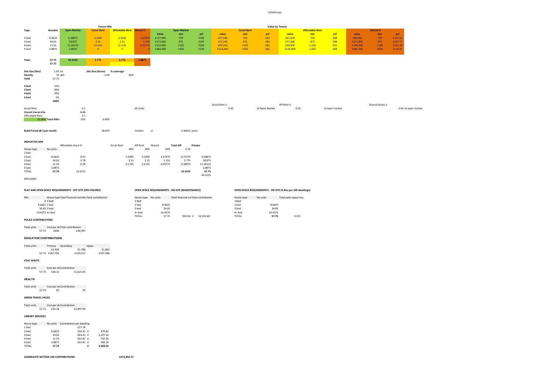Littlethorpe

|                                                           |                    |                                                        | <b>Tenure Mix</b>  |                          |                          |                  |                                                 |                    |                |                          |                  | Value by Tenure                                             |                        |                |          |                  |                     |
|-----------------------------------------------------------|--------------------|--------------------------------------------------------|--------------------|--------------------------|--------------------------|------------------|-------------------------------------------------|--------------------|----------------|--------------------------|------------------|-------------------------------------------------------------|------------------------|----------------|----------|------------------|---------------------|
| Type                                                      | Number             | <b>Open Market</b>                                     | <b>Social Rent</b> | Affordable Rent Shared O |                          |                  | <b>Open Market</b>                              |                    |                | <b>Social Rent</b>       |                  |                                                             | <b>Affordable Rent</b> |                |          | <b>Shared O</b>  |                     |
|                                                           |                    |                                                        |                    |                          |                          | Value            | size                                            | psf                | value          | size                     | psf              | value                                                       | size                   | psf            | value    | size             | psf                 |
| 2 bed                                                     | 8.6625             | 0.28875                                                | 3.3495             | 3.3495                   | 1.67475                  | £137,000         | 700                                             | £196               | £57,540        | 700                      | £82              | £61,650                                                     | 700                    | £88            | £89,050  | 700              | £127.21             |
| 3 bed                                                     | 34.65              | 28.875                                                 | 2.31               | 2.31                     | 1.155                    | £172,000         | 875                                             | £197               | £72,240        | 875                      | £83              | £77,400                                                     | 875                    | £88            | £111,800 | 875              | £127.77             |
| 4 bed                                                     | 11.55              | 11.26125                                               | 0.1155             | 0.1155                   | 0.05775                  | £222,000         | 1100                                            | £202               | £93,240        | 1100                     | £85              | £99,900                                                     | 1,100                  | £91            | £144,300 | 1100             | £131.18             |
| 5 bed                                                     | 2.8875             | 2.8875                                                 | $\overline{0}$     | $\overline{\mathbf{0}}$  |                          | £282,000         | 1450                                            | £194               | £118,440       | 1450                     | £82              | £126,900                                                    | 1,450                  | £88            | £183,300 | 1450             | £126.41             |
|                                                           |                    |                                                        |                    |                          |                          |                  |                                                 |                    |                |                          |                  |                                                             |                        |                |          |                  |                     |
| Total                                                     | 57.75<br>57.75     | 43.3125                                                | 5.775              | 5.775                    | 2.8875                   |                  |                                                 |                    |                |                          |                  |                                                             |                        |                |          |                  |                     |
| Site Size (Dev)                                           | $1.65$ ha          |                                                        | Site Size (Gross)  | % coverage               |                          |                  |                                                 |                    |                |                          |                  |                                                             |                        |                |          |                  |                     |
| Density<br>Yeild                                          | 35 dph<br>57.75    |                                                        | 2.00               | 83%                      |                          |                  |                                                 |                    |                |                          |                  |                                                             |                        |                |          |                  |                     |
|                                                           |                    |                                                        |                    |                          |                          |                  |                                                 |                    |                |                          |                  |                                                             |                        |                |          |                  |                     |
| 2 bed                                                     | 15%                |                                                        |                    |                          |                          |                  |                                                 |                    |                |                          |                  |                                                             |                        |                |          |                  |                     |
| 3 bed                                                     | 60%                |                                                        |                    |                          |                          |                  |                                                 |                    |                |                          |                  |                                                             |                        |                |          |                  |                     |
| 4 bed                                                     | 20%                |                                                        |                    |                          |                          |                  |                                                 |                    |                |                          |                  |                                                             |                        |                |          |                  |                     |
| 5 bed                                                     | 5%                 |                                                        |                    |                          |                          |                  |                                                 |                    |                |                          |                  |                                                             |                        |                |          |                  |                     |
|                                                           | 100%               |                                                        |                    |                          |                          |                  |                                                 |                    | Social Rent is |                          |                  | Aff Rent is                                                 |                        |                |          |                  |                     |
| Social Rent                                               |                    | 0.1                                                    |                    |                          | All Units                |                  |                                                 |                    | 0.42           |                          | of Open Market   | 0.45                                                        |                        | of open market |          | Shared Equity is | 0.65 of open market |
| Shared Ownership                                          |                    | 0.05                                                   |                    |                          |                          |                  |                                                 |                    |                |                          |                  |                                                             |                        |                |          |                  |                     |
| Affordable Rent                                           |                    | 0.1                                                    |                    |                          |                          |                  |                                                 |                    |                |                          |                  |                                                             |                        |                |          |                  |                     |
|                                                           | 25.00% Total Affor | 25%                                                    | 0.00%              |                          |                          |                  |                                                 |                    |                |                          |                  |                                                             |                        |                |          |                  |                     |
|                                                           |                    |                                                        |                    |                          |                          |                  |                                                 |                    |                |                          |                  |                                                             |                        |                |          |                  |                     |
|                                                           |                    |                                                        |                    |                          |                          |                  |                                                 |                    |                |                          |                  |                                                             |                        |                |          |                  |                     |
| Build Period @ 2 per month                                |                    |                                                        | 28.875             |                          | months                   | or               | 2.40625 years                                   |                    |                |                          |                  |                                                             |                        |                |          |                  |                     |
|                                                           |                    |                                                        |                    |                          |                          |                  |                                                 |                    |                |                          |                  |                                                             |                        |                |          |                  |                     |
| <b>INDICATIVE MIX</b>                                     |                    |                                                        |                    |                          |                          |                  |                                                 |                    |                |                          |                  |                                                             |                        |                |          |                  |                     |
|                                                           |                    | Affordable share %                                     |                    | Social Rent              | Aff Rent                 | Shared           | <b>Total Aff</b>                                | Private            |                |                          |                  |                                                             |                        |                |          |                  |                     |
| House type                                                | No units           |                                                        |                    | 40%                      | 40%                      | 20%              | 0.25                                            |                    |                |                          |                  |                                                             |                        |                |          |                  |                     |
| 1 bed                                                     |                    |                                                        |                    |                          |                          |                  |                                                 |                    |                |                          |                  |                                                             |                        |                |          |                  |                     |
| 2 bed                                                     | 8.6625             | 8.37                                                   |                    | 3.3495                   | 3.3495                   | 1.67475          | 8.37375                                         | 0.28875            |                |                          |                  |                                                             |                        |                |          |                  |                     |
| 3 bed                                                     | 34.65              | 5.78                                                   |                    | 2.31                     | 2.31                     | 1.155            | 5.775                                           | 28.875             |                |                          |                  |                                                             |                        |                |          |                  |                     |
| 4 bed                                                     | 11.55              | 0.29                                                   |                    | 0.1155                   | 0.1155                   | 0.05775          | 0.28875                                         | 11.26125           |                |                          |                  |                                                             |                        |                |          |                  |                     |
| 5 bed                                                     | 2.8875             |                                                        |                    |                          |                          |                  |                                                 | 2.8875             |                |                          |                  |                                                             |                        |                |          |                  |                     |
| <b>TOTAL</b>                                              | 57.75              | 14.4375                                                |                    |                          |                          |                  | 14.4375                                         | 57.75              |                |                          |                  |                                                             |                        |                |          |                  |                     |
|                                                           |                    |                                                        |                    |                          |                          |                  |                                                 | 43.3125            |                |                          |                  |                                                             |                        |                |          |                  |                     |
| Affordable                                                |                    |                                                        |                    |                          |                          |                  |                                                 |                    |                |                          |                  |                                                             |                        |                |          |                  |                     |
|                                                           |                    |                                                        |                    |                          |                          |                  |                                                 |                    |                |                          |                  |                                                             |                        |                |          |                  |                     |
| PLAY AND OPEN SPACE REQUIREMENTS - OFF SITE (SPD FIGURES) |                    |                                                        |                    |                          |                          |                  | OPEN SPACE REQUIREMENTS - ON SITE (MAINTENANCE) |                    |                |                          |                  | OPEN SPACE REQUIREMENTS - ON SITE (0.4ha per 100 dwellings) |                        |                |          |                  |                     |
|                                                           |                    |                                                        |                    |                          |                          |                  |                                                 |                    |                |                          |                  |                                                             |                        |                |          |                  |                     |
| Mix                                                       |                    | House type Total financial contribu Total contribution |                    |                          | House type No units      |                  | Total financial corTotal contribution           |                    |                | House type               | No units         | Total open space req.                                       |                        |                |          |                  |                     |
|                                                           | $01$ bed           |                                                        |                    |                          | 1 bed                    |                  |                                                 |                    |                | 1 bed                    |                  |                                                             |                        |                |          |                  |                     |
| 8.6625 2 bed                                              |                    |                                                        |                    |                          | 2 bed                    | 8.6625           |                                                 |                    |                | 2 bed                    | 8.6625           |                                                             |                        |                |          |                  |                     |
| 34.65 3 bed                                               |                    |                                                        |                    |                          | 3 bed                    | 34.65            |                                                 |                    |                | 3 bed                    | 34.65            |                                                             |                        |                |          |                  |                     |
| 14.4375 4+ bed                                            |                    |                                                        |                    |                          | $4+$ bed<br><b>TOTAL</b> | 14.4375<br>57.75 |                                                 | 903.96 £ 52,203.69 |                | $4+$ bed<br><b>TOTAL</b> | 14.4375<br>57.75 | 0.231                                                       |                        |                |          |                  |                     |
| <b>POLICE CONTRIBUTIONS</b>                               |                    |                                                        |                    |                          |                          |                  |                                                 |                    |                |                          |                  |                                                             |                        |                |          |                  |                     |
|                                                           |                    |                                                        |                    |                          |                          |                  |                                                 |                    |                |                          |                  |                                                             |                        |                |          |                  |                     |
| <b>Total units</b>                                        |                    | Cost per dv Total contribution                         |                    |                          |                          |                  |                                                 |                    |                |                          |                  |                                                             |                        |                |          |                  |                     |
| 57.75                                                     | £606               | £34,997                                                |                    |                          |                          |                  |                                                 |                    |                |                          |                  |                                                             |                        |                |          |                  |                     |

### **EDUCATION CONTRIBUTIONS**

| Total units | Primary        | Secondary |          | Upper |          |
|-------------|----------------|-----------|----------|-------|----------|
|             | £2.904         |           | £1.788   |       | £1.863   |
|             | 57.75 £167.706 |           | £103.257 |       | £107.588 |

**CIVIC WASTE**

Total units Cost per dv Contribution<br>57.75 £28.12 £1,623.93

**HEALTH**

Total units Cost per dv Contribution<br>57.75 £0 60 £0

#### **GREEN TRAVEL PACKS**

Total units Cost per dv Contribution<br>57.75 £50.18 £2,897.90

#### **LIBRARY SERVICES**

| House type   | No units | Contribution per dwelling |   |          |
|--------------|----------|---------------------------|---|----------|
| 1 bed        |          | £27.18                    |   |          |
| 2 bed        | 8.6625   | £54.35 £                  |   | 470.81   |
| 3 bed        | 34.65    | £63.41 £                  |   | 2.197.16 |
| 4 bed        | 11.55    | £63.41 £                  |   | 732.39   |
| 5 bed        | 2.8875   | £63.41 £                  |   | 183.10   |
| <b>TOTAL</b> | 57.75    |                           | f | 3.583.45 |

**AGGREGATE SECTION 106 CONTRIBUTIONS £473,856.71**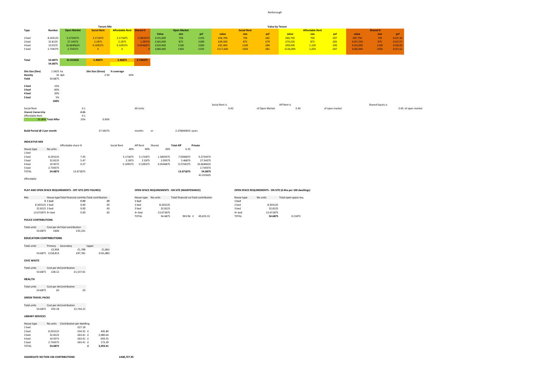Narborough

|                                                           |                    |                                | <b>Tenure Mix</b>                                      |                                 |                     |           |                                                 |                    |                |                    |                | Value by Tenure                                             |                        |                |          |                  |                     |
|-----------------------------------------------------------|--------------------|--------------------------------|--------------------------------------------------------|---------------------------------|---------------------|-----------|-------------------------------------------------|--------------------|----------------|--------------------|----------------|-------------------------------------------------------------|------------------------|----------------|----------|------------------|---------------------|
| Type                                                      | Number             | <b>Open Market</b>             | <b>Social Rent</b>                                     | <b>Affordable Rent Shared O</b> |                     |           | <b>Open Market</b>                              |                    |                | <b>Social Rent</b> |                |                                                             | <b>Affordable Rent</b> |                |          | <b>Shared O</b>  |                     |
|                                                           |                    |                                |                                                        |                                 |                     | Value     | size                                            | psf                | value          | size               | psf            | value                                                       | size                   | psf            | value    | size             | psf                 |
| 2 bed                                                     | 8.203125           | 0.2734375                      | 3.171875                                               | 3.171875                        | 1.5859375           | £135,000  | 700                                             | £193               | £56,700        | 700                | £81            | £60,750                                                     | 700                    | £87            | £87,750  | 700              | £125.36             |
| 3 bed                                                     | 32.8125            | 27.34375                       | 2.1875                                                 | 2.1875                          | 1.09375             | £165,000  | 875                                             | £189               | £69,300        | 875                | £79            | £74,250                                                     | 875                    | £85            | £107,250 | 875              | £122.57             |
| 4 bed                                                     | 10.9375            | 10.6640625                     | 0.109375                                               | 0.109375                        | 0.0546875           | £220,000  | 1100                                            | £200               | £92,400        | 1100               | £84            | £99,000                                                     | 1,100                  | £90            | £143,000 | 1100             | £130.00             |
| 5 bed                                                     | 2.734375           | 2.734375                       | $\overline{0}$                                         | $\overline{\mathbf{0}}$         |                     | £280,000  | 1450                                            | £193               | £117,600       | 1450               | £81            | £126,000                                                    | 1,450                  | £87            | £182,000 | 1450             | £125.52             |
|                                                           |                    |                                |                                                        |                                 |                     |           |                                                 |                    |                |                    |                |                                                             |                        |                |          |                  |                     |
| Total                                                     | 54.6875            | 41.015625                      | 5.46875                                                | 5.46875                         | 2.734375            |           |                                                 |                    |                |                    |                |                                                             |                        |                |          |                  |                     |
|                                                           | 54.6875            |                                |                                                        |                                 |                     |           |                                                 |                    |                |                    |                |                                                             |                        |                |          |                  |                     |
| Site Size (Dev)                                           | 1.5625 ha          |                                | Site Size (Gross)                                      | % coverage                      |                     |           |                                                 |                    |                |                    |                |                                                             |                        |                |          |                  |                     |
| <b>Density</b>                                            | 35 dph             |                                | 2.50                                                   | 63%                             |                     |           |                                                 |                    |                |                    |                |                                                             |                        |                |          |                  |                     |
| Yeild                                                     | 54.6875            |                                |                                                        |                                 |                     |           |                                                 |                    |                |                    |                |                                                             |                        |                |          |                  |                     |
|                                                           |                    |                                |                                                        |                                 |                     |           |                                                 |                    |                |                    |                |                                                             |                        |                |          |                  |                     |
| 2 bed                                                     | 15%                |                                |                                                        |                                 |                     |           |                                                 |                    |                |                    |                |                                                             |                        |                |          |                  |                     |
| 3 bed                                                     | 60%                |                                |                                                        |                                 |                     |           |                                                 |                    |                |                    |                |                                                             |                        |                |          |                  |                     |
| 4 bed                                                     | 20%                |                                |                                                        |                                 |                     |           |                                                 |                    |                |                    |                |                                                             |                        |                |          |                  |                     |
| 5 bed                                                     | 5%                 |                                |                                                        |                                 |                     |           |                                                 |                    |                |                    |                |                                                             |                        |                |          |                  |                     |
|                                                           | 100%               |                                |                                                        |                                 |                     |           |                                                 |                    |                |                    |                |                                                             |                        |                |          |                  |                     |
|                                                           |                    |                                |                                                        |                                 |                     |           |                                                 |                    | Social Rent is |                    |                | Aff Rent is                                                 |                        |                |          | Shared Equity is |                     |
| Social Rent                                               |                    | 0.1                            |                                                        |                                 | All Units           |           |                                                 |                    | 0.42           |                    | of Open Market | 0.45                                                        |                        | of open market |          |                  | 0.65 of open market |
| Shared Ownership                                          |                    | 0.05                           |                                                        |                                 |                     |           |                                                 |                    |                |                    |                |                                                             |                        |                |          |                  |                     |
| Affordable Rent                                           |                    | 0.1                            |                                                        |                                 |                     |           |                                                 |                    |                |                    |                |                                                             |                        |                |          |                  |                     |
|                                                           | 25.00% Total Affor | 25%                            | 0.00%                                                  |                                 |                     |           |                                                 |                    |                |                    |                |                                                             |                        |                |          |                  |                     |
|                                                           |                    |                                |                                                        |                                 |                     |           |                                                 |                    |                |                    |                |                                                             |                        |                |          |                  |                     |
|                                                           |                    |                                |                                                        |                                 |                     |           |                                                 |                    |                |                    |                |                                                             |                        |                |          |                  |                     |
| Build Period @ 2 per month                                |                    |                                | 27.34375                                               |                                 | months<br>or        |           | 2.278645833 years                               |                    |                |                    |                |                                                             |                        |                |          |                  |                     |
|                                                           |                    |                                |                                                        |                                 |                     |           |                                                 |                    |                |                    |                |                                                             |                        |                |          |                  |                     |
| <b>INDICATIVE MIX</b>                                     |                    |                                |                                                        |                                 |                     |           |                                                 |                    |                |                    |                |                                                             |                        |                |          |                  |                     |
|                                                           |                    | Affordable share %             |                                                        | Social Rent                     | Aff Rent            | Shared    | <b>Total Aff</b>                                | Private            |                |                    |                |                                                             |                        |                |          |                  |                     |
| House type                                                | No units           |                                |                                                        | 40%                             | 40%                 | 20%       | 0.25                                            |                    |                |                    |                |                                                             |                        |                |          |                  |                     |
| 1 bed                                                     |                    |                                |                                                        |                                 |                     |           |                                                 |                    |                |                    |                |                                                             |                        |                |          |                  |                     |
| 2 bed                                                     | 8.203125           | 7.93                           |                                                        | 3.171875                        | 3.171875            | 1.5859375 | 7.9296875                                       | 0.2734375          |                |                    |                |                                                             |                        |                |          |                  |                     |
| 3 bed                                                     | 32.8125            | 5.47                           |                                                        | 2.1875                          | 2.1875              | 1.09375   | 5.46875                                         | 27.34375           |                |                    |                |                                                             |                        |                |          |                  |                     |
| 4 bed                                                     | 10.9375            | 0.27                           |                                                        | 0.109375                        | 0.109375            | 0.0546875 | 0.2734375                                       | 10.6640625         |                |                    |                |                                                             |                        |                |          |                  |                     |
| 5 bed                                                     | 2.734375           |                                |                                                        |                                 |                     |           |                                                 | 2.734375           |                |                    |                |                                                             |                        |                |          |                  |                     |
| <b>TOTAL</b>                                              | 54.6875            | 13.671875                      |                                                        |                                 |                     |           | 13.671875                                       | 54.6875            |                |                    |                |                                                             |                        |                |          |                  |                     |
|                                                           |                    |                                |                                                        |                                 |                     |           |                                                 | 41.015625          |                |                    |                |                                                             |                        |                |          |                  |                     |
| Affordable                                                |                    |                                |                                                        |                                 |                     |           |                                                 |                    |                |                    |                |                                                             |                        |                |          |                  |                     |
|                                                           |                    |                                |                                                        |                                 |                     |           |                                                 |                    |                |                    |                |                                                             |                        |                |          |                  |                     |
|                                                           |                    |                                |                                                        |                                 |                     |           |                                                 |                    |                |                    |                |                                                             |                        |                |          |                  |                     |
| PLAY AND OPEN SPACE REQUIREMENTS - OFF SITE (SPD FIGURES) |                    |                                |                                                        |                                 |                     |           | OPEN SPACE REQUIREMENTS - ON SITE (MAINTENANCE) |                    |                |                    |                | OPEN SPACE REQUIREMENTS - ON SITE (0.4ha per 100 dwellings) |                        |                |          |                  |                     |
|                                                           |                    |                                |                                                        |                                 |                     |           |                                                 |                    |                |                    |                |                                                             |                        |                |          |                  |                     |
| Mix                                                       |                    |                                | House type Total financial contribu Total contribution |                                 | House type No units |           | Total financial corTotal contribution           |                    |                | House type         | No units       | Total open space req.                                       |                        |                |          |                  |                     |
|                                                           | $01$ bed           | 0.00                           | £0                                                     |                                 | 1 bed               |           |                                                 |                    |                | 1 bed              |                |                                                             |                        |                |          |                  |                     |
| 8.203125 2 bed                                            |                    | 0.00                           | £0                                                     |                                 | 2 bed               | 8.203125  |                                                 |                    |                | 2 bed              | 8.203125       |                                                             |                        |                |          |                  |                     |
| 32.8125 3 bed                                             |                    | 0.00                           | £0                                                     |                                 | 3 bed               | 32.8125   |                                                 |                    |                | 3 bed              | 32.8125        |                                                             |                        |                |          |                  |                     |
| 13.671875 4+ bed                                          |                    | 0.00                           | £0                                                     |                                 | $4+$ bed            | 13.671875 |                                                 |                    |                | $4+$ bed           | 13.671875      |                                                             |                        |                |          |                  |                     |
|                                                           |                    |                                |                                                        |                                 | <b>TOTAL</b>        | 54.6875   |                                                 | 903.96 £ 49,435.31 |                | <b>TOTAL</b>       | 54.6875        | 0.21875                                                     |                        |                |          |                  |                     |
| <b>POLICE CONTRIBUTIONS</b>                               |                    |                                |                                                        |                                 |                     |           |                                                 |                    |                |                    |                |                                                             |                        |                |          |                  |                     |
|                                                           |                    |                                |                                                        |                                 |                     |           |                                                 |                    |                |                    |                |                                                             |                        |                |          |                  |                     |
| Total units                                               |                    | Cost per dv Total contribution |                                                        |                                 |                     |           |                                                 |                    |                |                    |                |                                                             |                        |                |          |                  |                     |
| 54.6875                                                   | £606               | £33,141                        |                                                        |                                 |                     |           |                                                 |                    |                |                    |                |                                                             |                        |                |          |                  |                     |
| <b>EDUCATION CONTRIBUTIONS</b>                            |                    |                                |                                                        |                                 |                     |           |                                                 |                    |                |                    |                |                                                             |                        |                |          |                  |                     |
|                                                           |                    |                                |                                                        |                                 |                     |           |                                                 |                    |                |                    |                |                                                             |                        |                |          |                  |                     |
| Total units                                               | Primary Secondary  |                                | Upper                                                  |                                 |                     |           |                                                 |                    |                |                    |                |                                                             |                        |                |          |                  |                     |
|                                                           |                    |                                | $   -$                                                 |                                 |                     |           |                                                 |                    |                |                    |                |                                                             |                        |                |          |                  |                     |

الباق<br>1,788 £97,781<br>197,781  $£1,863$ <br>£101,883 54.6875 £158,813 £97,781 £101,883

**CIVIC WASTE**

Total units Cost per dwelling Contribution 54.6875 £28.12 £1,537.81

**HEALTH**

Total units Cost per dv Contribution<br>54.6875 £0 £0

#### **GREEN TRAVEL PACKS**

Total units Cost per dwelling Contribution 54.6875 £50.18 £2,744.22

#### **LIBRARY SERVICES**

| House type   | No units | Contribution per dwelling |   |          |
|--------------|----------|---------------------------|---|----------|
| 1 bed        |          | £27.18                    |   |          |
| 2 bed        | 8.203125 | £54.35 £                  |   | 445.84   |
| 3 bed        | 32.8125  | £63.41 £                  |   | 2.080.64 |
| 4 bed        | 10.9375  | £63.41 £                  |   | 693.55   |
| 5 bed        | 2.734375 | £63.41 £                  |   | 173.39   |
| <b>TOTAL</b> | 54.6875  |                           | f | 3.393.41 |

**AGGREGATE SECTION 106 CONTRIBUTIONS £448,727.95**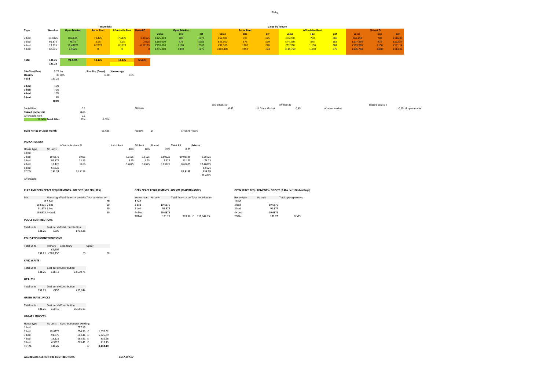Blaby

|                                |                    |                                                           | Tenure Mix                                             |                          |                     |          |                                                 |                     |                |                    |                                                             | <b>Value by Tenure</b> |                        |                |          |                  |         |                     |
|--------------------------------|--------------------|-----------------------------------------------------------|--------------------------------------------------------|--------------------------|---------------------|----------|-------------------------------------------------|---------------------|----------------|--------------------|-------------------------------------------------------------|------------------------|------------------------|----------------|----------|------------------|---------|---------------------|
| Type                           | Number             | <b>Open Market</b>                                        | <b>Social Rent</b>                                     | Affordable Rent Shared O |                     |          | <b>Open Market</b>                              |                     |                | <b>Social Rent</b> |                                                             |                        | <b>Affordable Rent</b> |                |          | <b>Shared O</b>  |         |                     |
|                                |                    |                                                           |                                                        |                          |                     | Value    | size                                            | psf                 | value          | size               | psf                                                         | value                  | size                   | psf            | value    | size             | psf     |                     |
| 2 bed                          | 19.6875            | 0.65625                                                   | 7.6125                                                 | 7.6125                   | 3.80625             | £125,000 | 700                                             | £179                | £52,500        | 700                | £75                                                         | £56,250                | 700                    | £80            | £81,250  | 700              | £116.07 |                     |
| 3 bed                          | 91.875             | 78.75                                                     | 5.25                                                   | 5.25                     | 2.625               | £165,000 | 875                                             | £189                | £69,300        | 875                | £79                                                         | £74,250                | 875                    | £85            | £107,250 | 875              | £122.57 |                     |
|                                | 13.125             |                                                           |                                                        |                          |                     |          |                                                 |                     |                |                    |                                                             |                        |                        |                |          |                  |         |                     |
| 4 bed                          |                    | 12.46875                                                  | 0.2625                                                 | 0.2625                   | 0.13125             | £205,000 | 1100                                            | £186                | £86,100        | 1100               | £78                                                         | £92,250                | 1,100                  | £84            | £133,250 | 1100             | £121.14 |                     |
| 5 bed                          | 6.5625             | 6.5625                                                    | $\overline{0}$                                         | $\overline{\mathbf{0}}$  |                     | £255,000 | 1450                                            | £176                | £107,100       | 1450               | £74                                                         | £114,750               | 1,450                  | £79            | £165,750 | 1450             | £114.31 |                     |
|                                |                    |                                                           |                                                        |                          |                     |          |                                                 |                     |                |                    |                                                             |                        |                        |                |          |                  |         |                     |
|                                |                    |                                                           |                                                        |                          |                     |          |                                                 |                     |                |                    |                                                             |                        |                        |                |          |                  |         |                     |
| Total                          | 131.25             | 98.4375                                                   | 13.125                                                 | 13.125                   | 6.5625              |          |                                                 |                     |                |                    |                                                             |                        |                        |                |          |                  |         |                     |
|                                | 131.25             |                                                           |                                                        |                          |                     |          |                                                 |                     |                |                    |                                                             |                        |                        |                |          |                  |         |                     |
|                                |                    |                                                           |                                                        |                          |                     |          |                                                 |                     |                |                    |                                                             |                        |                        |                |          |                  |         |                     |
| Site Size (Dev)                | 3.75 ha            |                                                           | Site Size (Gross)                                      | % coverage               |                     |          |                                                 |                     |                |                    |                                                             |                        |                        |                |          |                  |         |                     |
| <b>Density</b>                 | 35 dph             |                                                           | 6.00                                                   | 63%                      |                     |          |                                                 |                     |                |                    |                                                             |                        |                        |                |          |                  |         |                     |
|                                |                    |                                                           |                                                        |                          |                     |          |                                                 |                     |                |                    |                                                             |                        |                        |                |          |                  |         |                     |
| Yeild                          | 131.25             |                                                           |                                                        |                          |                     |          |                                                 |                     |                |                    |                                                             |                        |                        |                |          |                  |         |                     |
|                                |                    |                                                           |                                                        |                          |                     |          |                                                 |                     |                |                    |                                                             |                        |                        |                |          |                  |         |                     |
| 2 bed                          | 15%                |                                                           |                                                        |                          |                     |          |                                                 |                     |                |                    |                                                             |                        |                        |                |          |                  |         |                     |
| 3 bed                          | 70%                |                                                           |                                                        |                          |                     |          |                                                 |                     |                |                    |                                                             |                        |                        |                |          |                  |         |                     |
| 4 bed                          | 10%                |                                                           |                                                        |                          |                     |          |                                                 |                     |                |                    |                                                             |                        |                        |                |          |                  |         |                     |
| 5 bed                          | 5%                 |                                                           |                                                        |                          |                     |          |                                                 |                     |                |                    |                                                             |                        |                        |                |          |                  |         |                     |
|                                | 100%               |                                                           |                                                        |                          |                     |          |                                                 |                     |                |                    |                                                             |                        |                        |                |          |                  |         |                     |
|                                |                    |                                                           |                                                        |                          |                     |          |                                                 |                     | Social Rent is |                    |                                                             | Aff Rent is            |                        |                |          | Shared Equity is |         |                     |
| Social Rent                    |                    | 0.1                                                       |                                                        |                          | All Units           |          |                                                 |                     | 0.42           |                    | of Open Market                                              | 0.45                   |                        | of open market |          |                  |         | 0.65 of open market |
| Shared Ownership               |                    | 0.05                                                      |                                                        |                          |                     |          |                                                 |                     |                |                    |                                                             |                        |                        |                |          |                  |         |                     |
|                                |                    |                                                           |                                                        |                          |                     |          |                                                 |                     |                |                    |                                                             |                        |                        |                |          |                  |         |                     |
| Affordable Rent                |                    | 0.1                                                       |                                                        |                          |                     |          |                                                 |                     |                |                    |                                                             |                        |                        |                |          |                  |         |                     |
|                                | 25.00% Total Affor | 25%                                                       | 0.00%                                                  |                          |                     |          |                                                 |                     |                |                    |                                                             |                        |                        |                |          |                  |         |                     |
|                                |                    |                                                           |                                                        |                          |                     |          |                                                 |                     |                |                    |                                                             |                        |                        |                |          |                  |         |                     |
|                                |                    |                                                           |                                                        |                          |                     |          |                                                 |                     |                |                    |                                                             |                        |                        |                |          |                  |         |                     |
| Build Period @ 2 per month     |                    |                                                           | 65.625                                                 |                          | months              | or       | 5.46875 years                                   |                     |                |                    |                                                             |                        |                        |                |          |                  |         |                     |
|                                |                    |                                                           |                                                        |                          |                     |          |                                                 |                     |                |                    |                                                             |                        |                        |                |          |                  |         |                     |
|                                |                    |                                                           |                                                        |                          |                     |          |                                                 |                     |                |                    |                                                             |                        |                        |                |          |                  |         |                     |
| <b>INDICATIVE MIX</b>          |                    |                                                           |                                                        |                          |                     |          |                                                 |                     |                |                    |                                                             |                        |                        |                |          |                  |         |                     |
|                                |                    | Affordable share %                                        |                                                        | Social Rent              | Aff Rent            | Shared   | <b>Total Aff</b>                                | Private             |                |                    |                                                             |                        |                        |                |          |                  |         |                     |
|                                | No units           |                                                           |                                                        | 40%                      | 40%                 | 20%      | 0.25                                            |                     |                |                    |                                                             |                        |                        |                |          |                  |         |                     |
| House type                     |                    |                                                           |                                                        |                          |                     |          |                                                 |                     |                |                    |                                                             |                        |                        |                |          |                  |         |                     |
| 1 bed                          |                    |                                                           |                                                        |                          |                     |          |                                                 |                     |                |                    |                                                             |                        |                        |                |          |                  |         |                     |
| 2 bed                          | 19.6875            | 19.03                                                     |                                                        | 7.6125                   | 7.6125              | 3.80625  | 19.03125                                        | 0.65625             |                |                    |                                                             |                        |                        |                |          |                  |         |                     |
| 3 bed                          | 91.875             | 13.13                                                     |                                                        | 5.25                     | 5.25                | 2.625    | 13.125                                          | 78.75               |                |                    |                                                             |                        |                        |                |          |                  |         |                     |
| 4 bed                          | 13.125             | 0.66                                                      |                                                        | 0.2625                   | 0.2625              | 0.13125  | 0.65625                                         | 12.46875            |                |                    |                                                             |                        |                        |                |          |                  |         |                     |
| 5 bed                          | 6.5625             |                                                           |                                                        |                          |                     |          |                                                 | 6.5625              |                |                    |                                                             |                        |                        |                |          |                  |         |                     |
| <b>TOTAL</b>                   | 131.25             | 32.8125                                                   |                                                        |                          |                     |          | 32.8125                                         | 131.25              |                |                    |                                                             |                        |                        |                |          |                  |         |                     |
|                                |                    |                                                           |                                                        |                          |                     |          |                                                 | 98.4375             |                |                    |                                                             |                        |                        |                |          |                  |         |                     |
| Affordable                     |                    |                                                           |                                                        |                          |                     |          |                                                 |                     |                |                    |                                                             |                        |                        |                |          |                  |         |                     |
|                                |                    |                                                           |                                                        |                          |                     |          |                                                 |                     |                |                    |                                                             |                        |                        |                |          |                  |         |                     |
|                                |                    |                                                           |                                                        |                          |                     |          |                                                 |                     |                |                    |                                                             |                        |                        |                |          |                  |         |                     |
|                                |                    |                                                           |                                                        |                          |                     |          |                                                 |                     |                |                    |                                                             |                        |                        |                |          |                  |         |                     |
|                                |                    | PLAY AND OPEN SPACE REQUIREMENTS - OFF SITE (SPD FIGURES) |                                                        |                          |                     |          | OPEN SPACE REQUIREMENTS - ON SITE (MAINTENANCE) |                     |                |                    | OPEN SPACE REQUIREMENTS - ON SITE (0.4ha per 100 dwellings) |                        |                        |                |          |                  |         |                     |
|                                |                    |                                                           |                                                        |                          |                     |          |                                                 |                     |                |                    |                                                             |                        |                        |                |          |                  |         |                     |
| Mix                            |                    |                                                           | House type Total financial contribu Total contribution |                          | House type No units |          | Total financial corTotal contribution           |                     |                | House type         | No units                                                    | Total open space req.  |                        |                |          |                  |         |                     |
|                                | $01$ bed           |                                                           | £0                                                     |                          | 1 bed               |          |                                                 |                     |                | 1 bed              |                                                             |                        |                        |                |          |                  |         |                     |
| 19.6875 2 bed                  |                    |                                                           | £0                                                     |                          | 2 bed               | 19.6875  |                                                 |                     |                | 2 bed              | 19.6875                                                     |                        |                        |                |          |                  |         |                     |
|                                | 91.875 3 bed       |                                                           | £0                                                     |                          | 3 bed               | 91.875   |                                                 |                     |                | 3 bed              | 91.875                                                      |                        |                        |                |          |                  |         |                     |
|                                | 19.6875 4+ bed     |                                                           | $\pmb{\text{f0}}$                                      |                          | $4+$ bed            | 19.6875  |                                                 |                     |                | $4+$ bed           | 19.6875                                                     |                        |                        |                |          |                  |         |                     |
|                                |                    |                                                           |                                                        |                          | <b>TOTAL</b>        | 131.25   |                                                 | 903.96 £ 118,644.75 |                | <b>TOTAL</b>       | 131.25                                                      | 0.525                  |                        |                |          |                  |         |                     |
| POLICE CONTRIBUTIONS           |                    |                                                           |                                                        |                          |                     |          |                                                 |                     |                |                    |                                                             |                        |                        |                |          |                  |         |                     |
|                                |                    |                                                           |                                                        |                          |                     |          |                                                 |                     |                |                    |                                                             |                        |                        |                |          |                  |         |                     |
|                                |                    |                                                           |                                                        |                          |                     |          |                                                 |                     |                |                    |                                                             |                        |                        |                |          |                  |         |                     |
| Total units                    |                    | Cost per dv Total contribution                            |                                                        |                          |                     |          |                                                 |                     |                |                    |                                                             |                        |                        |                |          |                  |         |                     |
| 131.25                         | £606               | £79,538                                                   |                                                        |                          |                     |          |                                                 |                     |                |                    |                                                             |                        |                        |                |          |                  |         |                     |
|                                |                    |                                                           |                                                        |                          |                     |          |                                                 |                     |                |                    |                                                             |                        |                        |                |          |                  |         |                     |
| <b>EDUCATION CONTRIBUTIONS</b> |                    |                                                           |                                                        |                          |                     |          |                                                 |                     |                |                    |                                                             |                        |                        |                |          |                  |         |                     |

| Total units |                 | Primary Secondary | Upper |    |
|-------------|-----------------|-------------------|-------|----|
|             | £2.904          |                   |       |    |
|             | 131.25 £381.150 |                   | £0    | £0 |

**CIVIC WASTE**

Total units Cost per dwelling Contribution 131.25 £28.12 £3,690.75

**HEALTH**

Total units Cost per dwelling Contribution 131.25 £459 £60,244

#### **GREEN TRAVEL PACKS**

Total units Cost per dwelling Contribution 131.25 £50.18 £6,586.13

#### **LIBRARY SERVICES**

| No units |        |   |                                                                           |
|----------|--------|---|---------------------------------------------------------------------------|
|          | £27.18 |   |                                                                           |
| 19.6875  |        |   | 1.070.02                                                                  |
| 91.875   |        |   | 5.825.79                                                                  |
| 13.125   |        |   | 832.26                                                                    |
| 6.5625   |        |   | 416.13                                                                    |
| 131.25   |        | f | 8.144.19                                                                  |
|          |        |   | Contribution per dwelling<br>£54.35 £<br>£63.41 £<br>£63.41 £<br>£63.41 £ |

**AGGREGATE SECTION 106 CONTRIBUTIONS £657,997.07**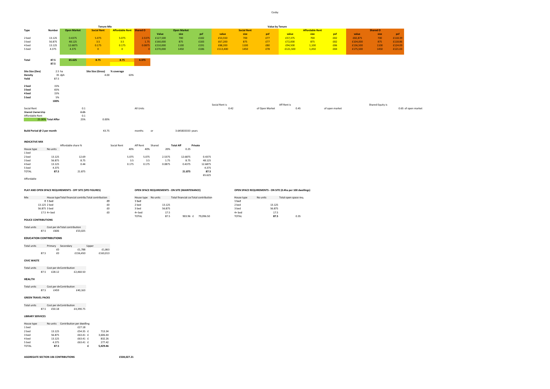Cosby

|                                                           |                    |                    | <b>Tenure Mix</b>        |                          |                |          |                                                        |         |                |                    |                | <b>Value by Tenure</b>                                      |                        |                |          |                  |                     |
|-----------------------------------------------------------|--------------------|--------------------|--------------------------|--------------------------|----------------|----------|--------------------------------------------------------|---------|----------------|--------------------|----------------|-------------------------------------------------------------|------------------------|----------------|----------|------------------|---------------------|
| Type                                                      | Number             | <b>Open Market</b> | <b>Social Rent</b>       | Affordable Rent Shared O |                |          | <b>Open Market</b>                                     |         |                | <b>Social Rent</b> |                |                                                             | <b>Affordable Rent</b> |                |          | <b>Shared O</b>  |                     |
|                                                           |                    |                    |                          |                          |                | Value    | size                                                   | psf     | value          | size               | psf            | value                                                       | size                   | psf            | value    | size             | psf                 |
| 2 bed                                                     | 13.125             | 0.4375             | 5.075                    | 5.075                    | 2.5375         | £127,500 | 700                                                    | £182    | £53,550        | 700                | £77            | £57,375                                                     | 700                    | £82            | £82,875  | 700              | £118.39             |
| 3 bed                                                     | 56.875             | 48.125             | 3.5                      | 3.5                      | 1.75           | £160,000 | 875                                                    | £183    | £67,200        | 875                | £77            | £72,000                                                     | 875                    | £82            | £104,000 | 875              | £118.86             |
| 4 bed                                                     | 13.125             | 12.6875            | 0.175                    | 0.175                    | 0.0875         | £210,000 | 1100                                                   | £191    | £88,200        | 1100               | £80            | £94,500                                                     | 1,100                  | £86            | £136,500 | 1100             | £124.09             |
| 5 bed                                                     | 4.375              | 4.375              | $\overline{0}$           | $\overline{\mathbf{0}}$  |                | £270,000 | 1450                                                   | £186    | £113,400       | 1450               | £78            | £121,500                                                    | 1,450                  | £84            | £175,500 | 1450             | £121.03             |
| Total                                                     | 87.5               | 65.625             | 8.75                     | 8.75                     | 4.375          |          |                                                        |         |                |                    |                |                                                             |                        |                |          |                  |                     |
|                                                           | 87.5               |                    |                          |                          |                |          |                                                        |         |                |                    |                |                                                             |                        |                |          |                  |                     |
| Site Size (Dev)                                           | 2.5 ha             |                    | <b>Site Size (Gross)</b> | % coverage               |                |          |                                                        |         |                |                    |                |                                                             |                        |                |          |                  |                     |
| Density                                                   | 35 dph             |                    | 4.00                     |                          | 63%            |          |                                                        |         |                |                    |                |                                                             |                        |                |          |                  |                     |
| Yeild                                                     | 87.5               |                    |                          |                          |                |          |                                                        |         |                |                    |                |                                                             |                        |                |          |                  |                     |
| 2 bed                                                     | 15%                |                    |                          |                          |                |          |                                                        |         |                |                    |                |                                                             |                        |                |          |                  |                     |
| 3 bed                                                     | 65%                |                    |                          |                          |                |          |                                                        |         |                |                    |                |                                                             |                        |                |          |                  |                     |
| 4 bed                                                     | 15%                |                    |                          |                          |                |          |                                                        |         |                |                    |                |                                                             |                        |                |          |                  |                     |
| 5 bed                                                     | 5%                 |                    |                          |                          |                |          |                                                        |         |                |                    |                |                                                             |                        |                |          |                  |                     |
|                                                           | 100%               |                    |                          |                          |                |          |                                                        |         |                |                    |                |                                                             |                        |                |          |                  |                     |
|                                                           |                    |                    |                          |                          |                |          |                                                        |         | Social Rent is |                    |                | Aff Rent is                                                 |                        |                |          | Shared Equity is |                     |
| Social Rent                                               |                    |                    | 0.1                      |                          | All Units      |          |                                                        |         | 0.42           |                    | of Open Market | 0.45                                                        |                        | of open market |          |                  | 0.65 of open market |
| Shared Ownership                                          |                    |                    | 0.05                     |                          |                |          |                                                        |         |                |                    |                |                                                             |                        |                |          |                  |                     |
| Affordable Rent                                           |                    |                    | 0.1                      |                          |                |          |                                                        |         |                |                    |                |                                                             |                        |                |          |                  |                     |
|                                                           | 25.00% Total Affor |                    | 25%<br>0.00%             |                          |                |          |                                                        |         |                |                    |                |                                                             |                        |                |          |                  |                     |
|                                                           |                    |                    |                          |                          |                |          |                                                        |         |                |                    |                |                                                             |                        |                |          |                  |                     |
| Build Period @ 2 per month                                |                    |                    | 43.75                    |                          | months         | or       | 3.645833333 years                                      |         |                |                    |                |                                                             |                        |                |          |                  |                     |
|                                                           |                    |                    |                          |                          |                |          |                                                        |         |                |                    |                |                                                             |                        |                |          |                  |                     |
| <b>INDICATIVE MIX</b>                                     |                    |                    |                          |                          |                |          |                                                        |         |                |                    |                |                                                             |                        |                |          |                  |                     |
|                                                           |                    | Affordable share % |                          | Social Rent              | Aff Rent       | Shared   | <b>Total Aff</b>                                       | Private |                |                    |                |                                                             |                        |                |          |                  |                     |
| House type                                                | No units           |                    |                          |                          | 40%<br>40%     | 20%      | 0.25                                                   |         |                |                    |                |                                                             |                        |                |          |                  |                     |
| 1 bed                                                     |                    |                    |                          |                          |                |          |                                                        |         |                |                    |                |                                                             |                        |                |          |                  |                     |
| 2 bed                                                     | 13.125             |                    | 12.69                    |                          | 5.075<br>5.075 | 2.5375   | 12.6875                                                | 0.4375  |                |                    |                |                                                             |                        |                |          |                  |                     |
| 3 bed                                                     | 56.875             |                    | 8.75                     |                          | 3.5<br>3.5     | 1.75     | 8.75                                                   | 48.125  |                |                    |                |                                                             |                        |                |          |                  |                     |
| 4 bed                                                     | 13.125             |                    | 0.44                     | 0.175                    | 0.175          | 0.0875   | 0.4375                                                 | 12.6875 |                |                    |                |                                                             |                        |                |          |                  |                     |
| 5 bed                                                     | 4.375              |                    |                          |                          |                |          |                                                        | 4.375   |                |                    |                |                                                             |                        |                |          |                  |                     |
| <b>TOTAL</b>                                              | 87.5               |                    | 21.875                   |                          |                |          | 21.875                                                 | 87.5    |                |                    |                |                                                             |                        |                |          |                  |                     |
|                                                           |                    |                    |                          |                          |                |          |                                                        | 65.625  |                |                    |                |                                                             |                        |                |          |                  |                     |
| Affordable                                                |                    |                    |                          |                          |                |          |                                                        |         |                |                    |                |                                                             |                        |                |          |                  |                     |
|                                                           |                    |                    |                          |                          |                |          |                                                        |         |                |                    |                |                                                             |                        |                |          |                  |                     |
| PLAY AND OPEN SPACE REQUIREMENTS - OFF SITE (SPD FIGURES) |                    |                    |                          |                          |                |          | <b>OPEN SPACE REQUIREMENTS - ON SITE (MAINTENANCE)</b> |         |                |                    |                | OPEN SPACE REQUIREMENTS - ON SITE (0.4ha per 100 dwellings) |                        |                |          |                  |                     |

| Mix | House type Total financial contribu Total contribution |    | House type No units |        | Total financial corTotal contribution |           | House type   | No units | Total open space req. |
|-----|--------------------------------------------------------|----|---------------------|--------|---------------------------------------|-----------|--------------|----------|-----------------------|
|     | $01$ bed                                               | £0 | 1 bed               |        |                                       |           | 1 bed        |          |                       |
|     | 13.125 2 bed                                           | £0 | 2 bed               | 13.125 |                                       |           | 2 bed        | 13.125   |                       |
|     | 56.875 3 bed                                           | £0 | 3 bed               | 56.875 |                                       |           | 3 bed        | 56.875   |                       |
|     | $17.5$ 4+ bed                                          | £0 | $4+$ bed            | 17.5   |                                       |           | $4+$ bed     | 17.5     |                       |
|     |                                                        |    | <b>TOTAL</b>        | 87.5   | 903.96 f                              | 79.096.50 | <b>TOTAL</b> | 87.5     | 0.35                  |

#### **POLICE CONTRIBUTIONS**

Total units Cost per dwelling Total contribution 87.5 £606 £53,025

#### **EDUCATION CONTRIBUTIONS**

| Total units |      | Primary | Secondary |          | Upper |          |
|-------------|------|---------|-----------|----------|-------|----------|
|             |      | fΩ      |           | £1.788   |       | £1.863   |
|             | 87.5 | f0      |           | £156.450 |       | £163.013 |

**CIVIC WASTE**

Total units Cost per dwelling Contribution 87.5 £28.12 £2,460.50

**HEALTH**

Total units Cost per dwelling Contribution 87.5 £459 £40,163

#### **GREEN TRAVEL PACKS**

Total units Cost per dv Contribution<br>87.5 £50.18 £4,390.75

#### **LIBRARY SERVICES**

| No units |        |   |                                                                           |
|----------|--------|---|---------------------------------------------------------------------------|
|          | £27.18 |   |                                                                           |
| 13.125   |        |   | 713.34                                                                    |
| 56.875   |        |   | 3.606.44                                                                  |
| 13.125   |        |   | 832.26                                                                    |
| 4.375    |        |   | 277.42                                                                    |
| 87.5     |        | f | 5.429.46                                                                  |
|          |        |   | Contribution per dwelling<br>£54.35 £<br>£63.41 £<br>£63.41 £<br>£63.41 £ |

**AGGREGATE SECTION 106 CONTRIBUTIONS £504,027.21**